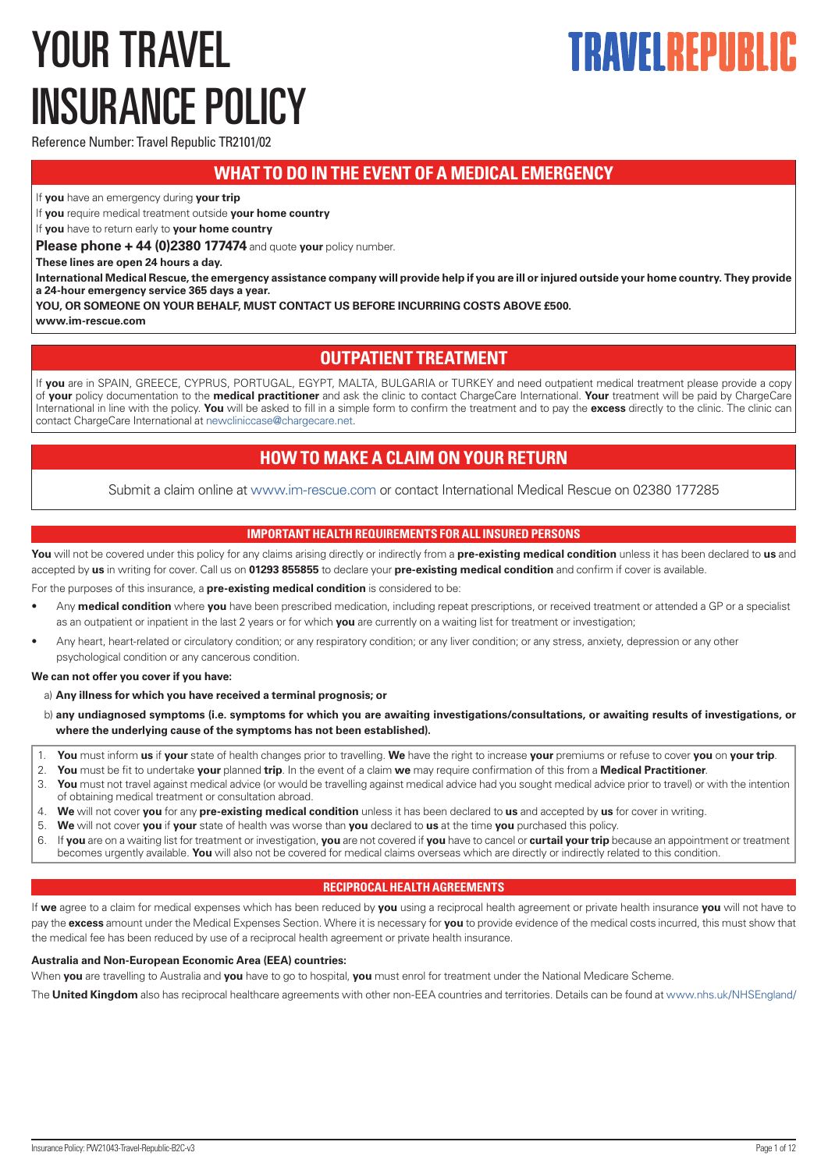# <span id="page-0-0"></span>YOUR TRAVEL INSURANCE POLICY

# TRAVEL REPIIRI

Reference Number: Travel Republic TR2101/02

# **WHAT TO DO IN THE EVENT OF A MEDICAL EMERGENCY**

If **you** have an emergency during **your trip**

If **you** require medical treatment outside **your home country**

If **you** have to return early to **your home country**

**Please phone + 44 (0)2380 177474** and quote **your** policy number.

**These lines are open 24 hours a day.** 

**International Medical Rescue, the emergency assistance company will provide help if you are ill or injured outside your home country. They provide a 24-hour emergency service 365 days a year.**

**YOU, OR SOMEONE ON YOUR BEHALF, MUST CONTACT US BEFORE INCURRING COSTS ABOVE £500.**

**www.im-rescue.com**

# **OUTPATIENT TREATMENT**

If **you** are in SPAIN, GREECE, CYPRUS, PORTUGAL, EGYPT, MALTA, BULGARIA or TURKEY and need outpatient medical treatment please provide a copy of **your** policy documentation to the **medical practitioner** and ask the clinic to contact ChargeCare International. **Your** treatment will be paid by ChargeCare International in line with the policy. **You** will be asked to fill in a simple form to confirm the treatment and to pay the **excess** directly to the clinic. The clinic can contact ChargeCare International at [newcliniccase@chargecare.net](mailto:newcliniccase@chargecare.net).

# **HOW TO MAKE A CLAIM ON YOUR RETURN**

Submit a claim online at [www.im-rescue.com](https://www.im-rescue.com) or contact International Medical Rescue on 02380 177285

## **IMPORTANT HEALTH REQUIREMENTS FOR ALL INSURED PERSONS**

**You** will not be covered under this policy for any claims arising directly or indirectly from a **pre-existing medical condition** unless it has been declared to **us** and accepted by **us** in writing for cover. Call us on **01293 855855** to declare your **pre-existing medical condition** and confirm if cover is available.

For the purposes of this insurance, a **pre-existing medical condition** is considered to be:

- Any **medical condition** where **you** have been prescribed medication, including repeat prescriptions, or received treatment or attended a GP or a specialist as an outpatient or inpatient in the last 2 years or for which **you** are currently on a waiting list for treatment or investigation;
- Any heart, heart-related or circulatory condition; or any respiratory condition; or any liver condition; or any stress, anxiety, depression or any other psychological condition or any cancerous condition.

**We can not offer you cover if you have:**

a) **Any illness for which you have received a terminal prognosis; or**

- b) any undiagnosed symptoms (i.e. symptoms for which you are awaiting investigations/consultations, or awaiting results of investigations, or **where the underlying cause of the symptoms has not been established).**
- 1. **You** must inform **us** if **your** state of health changes prior to travelling. **We** have the right to increase **your** premiums or refuse to cover **you** on **your trip**.
- 2. **You** must be fit to undertake **your** planned **trip**. In the event of a claim **we** may require confirmation of this from a **Medical Practitioner**.
- 3. **You** must not travel against medical advice (or would be travelling against medical advice had you sought medical advice prior to travel) or with the intention of obtaining medical treatment or consultation abroad.
- 4. **We** will not cover **you** for any **pre-existing medical condition** unless it has been declared to **us** and accepted by **us** for cover in writing.
- 5. **We** will not cover **you** if **your** state of health was worse than **you** declared to **us** at the time **you** purchased this policy.
- 6. If **you** are on a waiting list for treatment or investigation, **you** are not covered if **you** have to cancel or **curtail your trip** because an appointment or treatment becomes urgently available. **You** will also not be covered for medical claims overseas which are directly or indirectly related to this condition.

## **RECIPROCAL HEALTH AGREEMENTS**

If **we** agree to a claim for medical expenses which has been reduced by **you** using a reciprocal health agreement or private health insurance **you** will not have to pay the **excess** amount under the Medical Expenses Section. Where it is necessary for **you** to provide evidence of the medical costs incurred, this must show that the medical fee has been reduced by use of a reciprocal health agreement or private health insurance.

## **Australia and Non-European Economic Area (EEA) countries:**

When **you** are travelling to Australia and **you** have to go to hospital, **you** must enrol for treatment under the National Medicare Scheme.

The **United Kingdom** also has reciprocal healthcare agreements with other non-EEA countries and territories. Details can be found at [www.nhs.uk/NHSEngland/](http://www.nhs.uk/NHSEngland/)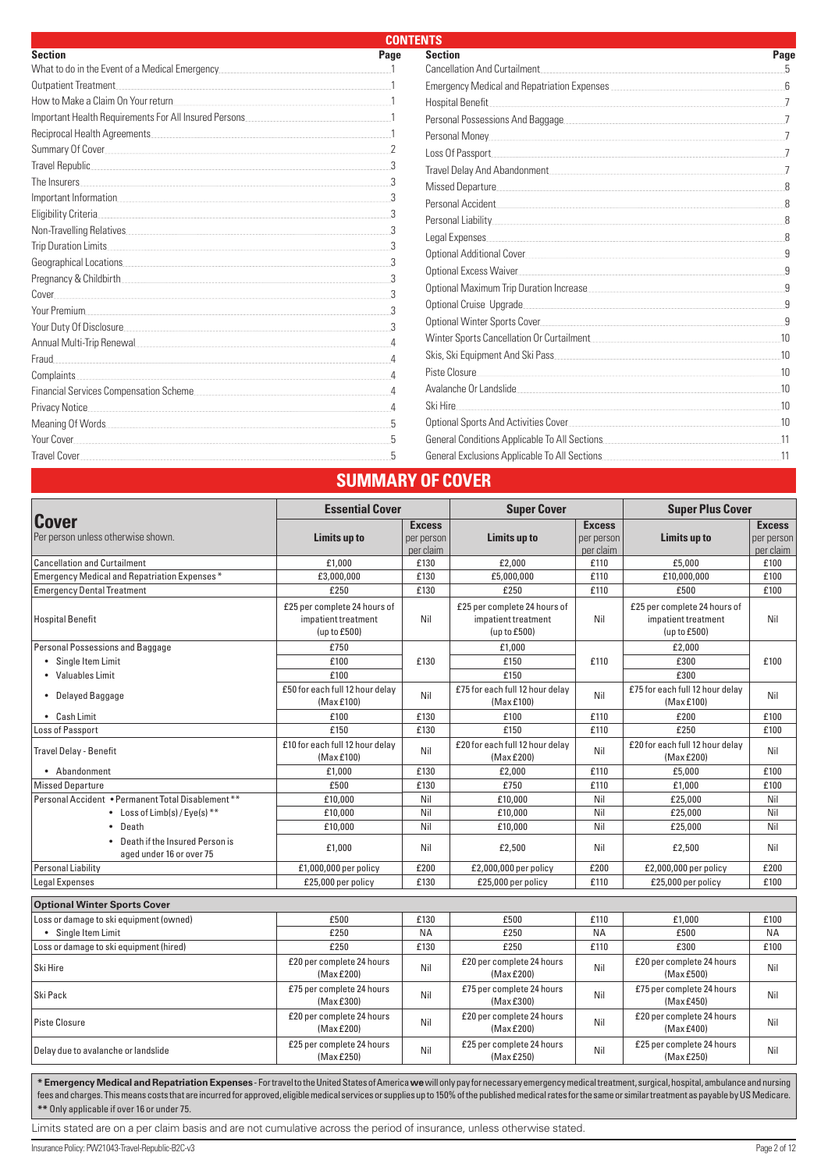| <b>CONTENTS</b>                                                                                                                                                                                                                     |      |                                                                                                                                                                                                                                    |      |
|-------------------------------------------------------------------------------------------------------------------------------------------------------------------------------------------------------------------------------------|------|------------------------------------------------------------------------------------------------------------------------------------------------------------------------------------------------------------------------------------|------|
| <b>Section</b>                                                                                                                                                                                                                      | Page | <b>Section</b>                                                                                                                                                                                                                     | Page |
| What to do in the Event of a Medical Emergency                                                                                                                                                                                      |      | <b>Cancellation And Curtailment</b>                                                                                                                                                                                                |      |
| Outpatient Treatment.                                                                                                                                                                                                               |      |                                                                                                                                                                                                                                    |      |
| How to Make a Claim On Your return                                                                                                                                                                                                  |      | Hospital Benefit                                                                                                                                                                                                                   |      |
|                                                                                                                                                                                                                                     |      |                                                                                                                                                                                                                                    |      |
| Reciprocal Health Agreements                                                                                                                                                                                                        |      | Personal Money                                                                                                                                                                                                                     |      |
|                                                                                                                                                                                                                                     |      | Loss Of Passport                                                                                                                                                                                                                   |      |
| Travel Republic                                                                                                                                                                                                                     |      | Travel Delay And Abandonment                                                                                                                                                                                                       |      |
| The Insurers                                                                                                                                                                                                                        |      | Missed Departure                                                                                                                                                                                                                   |      |
|                                                                                                                                                                                                                                     |      | Personal Accident <b>Executes Contract Contract Contract Contract Contract Contract Contract Contract Contract Contract Contract Contract Contract Contract Contract Contract Contract Contract Contract Contract Contract Con</b> |      |
| Eligibility Criteria                                                                                                                                                                                                                |      |                                                                                                                                                                                                                                    |      |
| Non-Travelling Relatives                                                                                                                                                                                                            |      | Legal Expenses                                                                                                                                                                                                                     |      |
| Trip Duration Limits                                                                                                                                                                                                                |      | Optional Additional Cover                                                                                                                                                                                                          |      |
| Geographical Locations <b>Example 20</b> Second 20 and 20 Second 20 and 20 and 20 and 20 and 20 and 20 and 20 and 20 and 20 and 20 and 20 and 20 and 20 and 20 and 20 and 20 and 20 and 20 and 20 and 20 and 20 and 20 and 20 and 2 |      | Optional Excess Waiver                                                                                                                                                                                                             |      |
| Pregnancy & Childbirth                                                                                                                                                                                                              |      |                                                                                                                                                                                                                                    |      |
| Cover                                                                                                                                                                                                                               |      |                                                                                                                                                                                                                                    |      |
| Your Premium.                                                                                                                                                                                                                       |      | Optional Cruise Upgrade                                                                                                                                                                                                            |      |
| Your Duty Of Disclosure                                                                                                                                                                                                             |      |                                                                                                                                                                                                                                    |      |
|                                                                                                                                                                                                                                     |      |                                                                                                                                                                                                                                    | 10   |
| Fraud                                                                                                                                                                                                                               |      |                                                                                                                                                                                                                                    | 10   |
| Complaints.                                                                                                                                                                                                                         |      | Piste Closure                                                                                                                                                                                                                      | .10  |
| Financial Services Compensation Scheme                                                                                                                                                                                              |      | Avalanche Or Landslide                                                                                                                                                                                                             | 10   |
| Privacy Notice.                                                                                                                                                                                                                     |      | Ski Hire                                                                                                                                                                                                                           | 10   |
|                                                                                                                                                                                                                                     |      |                                                                                                                                                                                                                                    | .10  |
| Your Cover                                                                                                                                                                                                                          |      |                                                                                                                                                                                                                                    |      |
| Travel Cover                                                                                                                                                                                                                        |      | General Exclusions Applicable To All Sections <b>Sections Contains the Section Section</b> Section 3                                                                                                                               |      |
|                                                                                                                                                                                                                                     |      | SUMMARY OF COVER                                                                                                                                                                                                                   |      |

|                                                              | <b>Essential Cover</b>                                              |                                          | <b>Super Cover</b>                                                  |                                          | <b>Super Plus Cover</b>                                             |                                          |
|--------------------------------------------------------------|---------------------------------------------------------------------|------------------------------------------|---------------------------------------------------------------------|------------------------------------------|---------------------------------------------------------------------|------------------------------------------|
| Cover<br>Per person unless otherwise shown.                  | Limits up to                                                        | <b>Excess</b><br>per person<br>per claim | Limits up to                                                        | <b>Excess</b><br>per person<br>per claim | Limits up to                                                        | <b>Excess</b><br>per person<br>per claim |
| <b>Cancellation and Curtailment</b>                          | £1.000                                                              | £130                                     | £2.000                                                              | £110                                     | £5.000                                                              | £100                                     |
| Emergency Medical and Repatriation Expenses*                 | £3,000,000                                                          | £130                                     | £5,000,000                                                          | £110                                     | £10,000,000                                                         | £100                                     |
| <b>Emergency Dental Treatment</b>                            | £250                                                                | £130                                     | £250                                                                | £110                                     | £500                                                                | £100                                     |
| Hospital Benefit                                             | £25 per complete 24 hours of<br>impatient treatment<br>(up to £500) | Nil                                      | £25 per complete 24 hours of<br>impatient treatment<br>(up to £500) | Nil                                      | £25 per complete 24 hours of<br>impatient treatment<br>(up to £500) | Nil                                      |
| Personal Possessions and Baggage                             | £750                                                                |                                          | £1,000                                                              |                                          | £2,000                                                              |                                          |
| • Single Item Limit                                          | £100                                                                | £130                                     | £150                                                                | £110                                     | £300                                                                | £100                                     |
| • Valuables Limit                                            | £100                                                                |                                          | £150                                                                |                                          | £300                                                                |                                          |
| • Delayed Baggage                                            | £50 for each full 12 hour delay<br>(Max £100)                       | Nil                                      | £75 for each full 12 hour delay<br>(Max £100)                       | Nil                                      | £75 for each full 12 hour delay<br>(Max £100)                       | Nil                                      |
| • Cash Limit                                                 | £100                                                                | £130                                     | £100                                                                | £110                                     | £200                                                                | £100                                     |
| <b>Loss of Passport</b>                                      | £150                                                                | £130                                     | £150                                                                | £110                                     | £250                                                                | £100                                     |
| <b>Travel Delay - Benefit</b>                                | £10 for each full 12 hour delay<br>(Max £100)                       | Nil                                      | £20 for each full 12 hour delay<br>(Max £200)                       | Nil                                      | £20 for each full 12 hour delay<br>(Max £200)                       | Nil                                      |
| • Abandonment                                                | £1,000                                                              | £130                                     | £2,000                                                              | £110                                     | £5.000                                                              | £100                                     |
| Missed Departure                                             | £500                                                                | £130                                     | £750                                                                | £110                                     | £1,000                                                              | £100                                     |
| Personal Accident • Permanent Total Disablement **           | £10,000                                                             | Nil                                      | £10,000                                                             | Nil                                      | £25.000                                                             | Nil                                      |
| • Loss of $Limb(s)/Eye(s)$ <sup>**</sup>                     | £10,000                                                             | Nil                                      | £10,000                                                             | Nil                                      | £25,000                                                             | Nil                                      |
| Death                                                        | £10,000                                                             | Nil                                      | £10,000                                                             | Nil                                      | £25,000                                                             | Nil                                      |
| • Death if the Insured Person is<br>aged under 16 or over 75 | £1,000                                                              | Nil                                      | £2,500                                                              | Nil                                      | £2,500                                                              | Nil                                      |
| <b>Personal Liability</b>                                    | $£1,000,000$ per policy                                             | £200                                     | £2,000,000 per policy                                               | £200                                     | £2,000,000 per policy                                               | £200                                     |
| <b>Legal Expenses</b>                                        | £25,000 per policy                                                  | £130                                     | £25,000 per policy                                                  | £110                                     | £25,000 per policy                                                  | £100                                     |
| <b>Optional Winter Sports Cover</b>                          |                                                                     |                                          |                                                                     |                                          |                                                                     |                                          |
| Loss or damage to ski equipment (owned)                      | £500                                                                | £130                                     | £500                                                                | £110                                     | £1,000                                                              | £100                                     |
| • Single Item Limit                                          | £250                                                                | <b>NA</b>                                | £250                                                                | <b>NA</b>                                | £500                                                                | <b>NA</b>                                |
| Loss or damage to ski equipment (hired)                      | £250                                                                | £130                                     | £250                                                                | £110                                     | £300                                                                | £100                                     |
| Ski Hire                                                     | £20 per complete 24 hours<br>(Max £200)                             | Nil                                      | £20 per complete 24 hours<br>(Max £200)                             | Nil                                      | £20 per complete 24 hours<br>(Max £500)                             | Nil                                      |
| Ski Pack                                                     | £75 per complete 24 hours<br>(Max £300)                             | Nil                                      | £75 per complete 24 hours<br>(Max £300)                             | Nil                                      | £75 per complete 24 hours<br>(Max £450)                             | Nil                                      |
| <b>Piste Closure</b>                                         | £20 per complete 24 hours<br>(Max £200)                             | Nil                                      | £20 per complete 24 hours<br>(Max £200)                             | Nil                                      | £20 per complete 24 hours<br>(Max £400)                             | Nil                                      |
| Delay due to avalanche or landslide                          | £25 per complete 24 hours<br>(Max £250)                             | Nil                                      | £25 per complete 24 hours<br>(Max £250)                             | Nil                                      | £25 per complete 24 hours<br>(Max £250)                             | Nil                                      |

**\* Emergency Medical and Repatriation Expenses** - For travel to the United States of America **we** will only pay for necessary emergency medical treatment, surgical, hospital, ambulance and nursing fees and charges. This means costs that are incurred for approved, eligible medical services or supplies up to 150% of the published medical rates for the same or similar treatment as payable by US Medicare. **\*\*** Only applicable if over 16 or under 75.

Limits stated are on a per claim basis and are not cumulative across the period of insurance, unless otherwise stated.

Insurance Policy: PW21043-Travel-Republic-B2C-v3 Page 2 of 12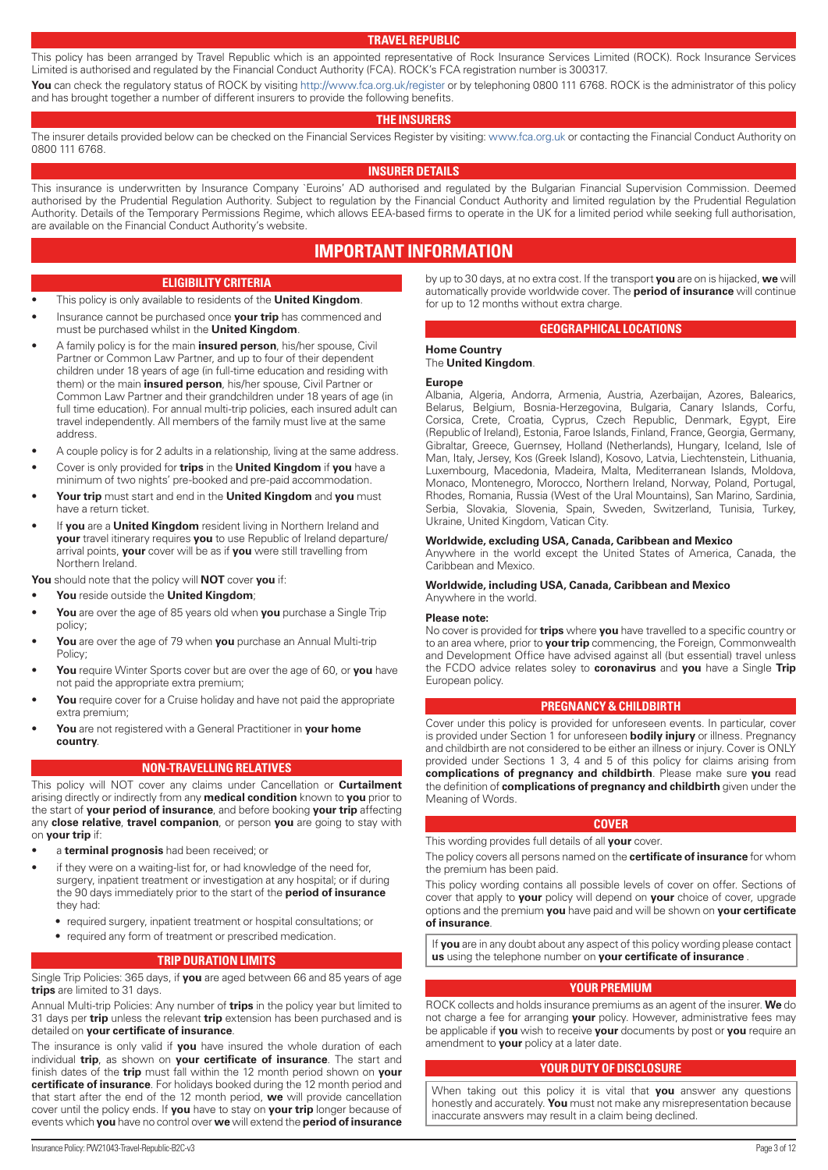#### **TRAVEL REPUBLIC**

<span id="page-2-0"></span>This policy has been arranged by Travel Republic which is an appointed representative of Rock Insurance Services Limited (ROCK). Rock Insurance Services Limited is authorised and regulated by the Financial Conduct Authority (FCA). ROCK's FCA registration number is 300317. You can check the regulatory status of ROCK by visiting <http://www.fca.org.uk/register> or by telephoning 0800 111 6768. ROCK is the administrator of this policy

and has brought together a number of different insurers to provide the following benefits.

#### **THE INSURERS**

The insurer details provided below can be checked on the Financial Services Register by visiting: [www.fca.org.uk](http://www.fca.org.uk) or contacting the Financial Conduct Authority on 0800 111 6768.

#### **INSURER DETAILS**

This insurance is underwritten by Insurance Company `Euroins' AD authorised and regulated by the Bulgarian Financial Supervision Commission. Deemed authorised by the Prudential Regulation Authority. Subject to regulation by the Financial Conduct Authority and limited regulation by the Prudential Regulation Authority. Details of the Temporary Permissions Regime, which allows EEA-based firms to operate in the UK for a limited period while seeking full authorisation, are available on the Financial Conduct Authority's website.

# **IMPORTANT INFORMATION**

#### **ELIGIBILITY CRITERIA**

- This policy is only available to residents of the **United Kingdom**.
- Insurance cannot be purchased once **your trip** has commenced and must be purchased whilst in the **United Kingdom**.
- A family policy is for the main **insured person**, his/her spouse, Civil Partner or Common Law Partner, and up to four of their dependent children under 18 years of age (in full-time education and residing with them) or the main **insured person**, his/her spouse, Civil Partner or Common Law Partner and their grandchildren under 18 years of age (in full time education). For annual multi-trip policies, each insured adult can travel independently. All members of the family must live at the same address.
- A couple policy is for 2 adults in a relationship, living at the same address.
- Cover is only provided for **trips** in the **United Kingdom** if **you** have a minimum of two nights' pre-booked and pre-paid accommodation.
- **Your trip** must start and end in the **United Kingdom** and **you** must have a return ticket.
- If **you** are a **United Kingdom** resident living in Northern Ireland and **your** travel itinerary requires **you** to use Republic of Ireland departure/ arrival points, **your** cover will be as if **you** were still travelling from Northern Ireland.

**You** should note that the policy will **NOT** cover **you** if:

- **You** reside outside the **United Kingdom**;
- **You** are over the age of 85 years old when **you** purchase a Single Trip policy;
- **You** are over the age of 79 when **you** purchase an Annual Multi-trip Policy;
- **You** require Winter Sports cover but are over the age of 60, or **you** have not paid the appropriate extra premium;
- You require cover for a Cruise holiday and have not paid the appropriate extra premium;
- **You** are not registered with a General Practitioner in **your home country**.

#### **NON-TRAVELLING RELATIVES**

This policy will NOT cover any claims under Cancellation or **Curtailment** arising directly or indirectly from any **medical condition** known to **you** prior to the start of **your period of insurance**, and before booking **your trip** affecting any **close relative**, **travel companion**, or person **you** are going to stay with on **your trip** if:

- a **terminal prognosis** had been received; or
- if they were on a waiting-list for, or had knowledge of the need for, surgery, inpatient treatment or investigation at any hospital; or if during the 90 days immediately prior to the start of the **period of insurance** they had:
	- required surgery, inpatient treatment or hospital consultations; or
	- required any form of treatment or prescribed medication.

#### **TRIP DURATION LIMITS**

Single Trip Policies: 365 days, if **you** are aged between 66 and 85 years of age **trips** are limited to 31 days.

Annual Multi-trip Policies: Any number of **trips** in the policy year but limited to 31 days per **trip** unless the relevant **trip** extension has been purchased and is detailed on **your certificate of insurance**.

The insurance is only valid if **you** have insured the whole duration of each individual **trip**, as shown on **your certificate of insurance**. The start and finish dates of the **trip** must fall within the 12 month period shown on **your certificate of insurance**. For holidays booked during the 12 month period and that start after the end of the 12 month period, **we** will provide cancellation cover until the policy ends. If **you** have to stay on **your trip** longer because of events which **you** have no control over **we** will extend the **period of insurance**

by up to 30 days, at no extra cost. If the transport **you** are on is hijacked, **we** will automatically provide worldwide cover. The **period of insurance** will continue for up to 12 months without extra charge.

#### **GEOGRAPHICAL LOCATIONS**

#### **Home Country** The **United Kingdom**.

#### **Europe**

Albania, Algeria, Andorra, Armenia, Austria, Azerbaijan, Azores, Balearics, Belarus, Belgium, Bosnia-Herzegovina, Bulgaria, Canary Islands, Corfu, Corsica, Crete, Croatia, Cyprus, Czech Republic, Denmark, Egypt, Eire (Republic of Ireland), Estonia, Faroe Islands, Finland, France, Georgia, Germany, Gibraltar, Greece, Guernsey, Holland (Netherlands), Hungary, Iceland, Isle of Man, Italy, Jersey, Kos (Greek Island), Kosovo, Latvia, Liechtenstein, Lithuania, Luxembourg, Macedonia, Madeira, Malta, Mediterranean Islands, Moldova, Monaco, Montenegro, Morocco, Northern Ireland, Norway, Poland, Portugal, Rhodes, Romania, Russia (West of the Ural Mountains), San Marino, Sardinia, Serbia, Slovakia, Slovenia, Spain, Sweden, Switzerland, Tunisia, Turkey, Ukraine, United Kingdom, Vatican City.

#### **Worldwide, excluding USA, Canada, Caribbean and Mexico**

Anywhere in the world except the United States of America, Canada, the Caribbean and Mexico.

#### **Worldwide, including USA, Canada, Caribbean and Mexico** Anywhere in the world.

#### **Please note:**

No cover is provided for **trips** where **you** have travelled to a specific country or to an area where, prior to **your trip** commencing, the Foreign, Commonwealth and Development Office have advised against all (but essential) travel unless the FCDO advice relates soley to **coronavirus** and **you** have a Single **Trip** European policy.

#### **PREGNANCY & CHILDBIRTH**

Cover under this policy is provided for unforeseen events. In particular, cover is provided under Section 1 for unforeseen **bodily injury** or illness. Pregnancy and childbirth are not considered to be either an illness or injury. Cover is ONLY provided under Sections 1 3, 4 and 5 of this policy for claims arising from **complications of pregnancy and childbirth**. Please make sure **you** read the definition of **complications of pregnancy and childbirth** given under the Meaning of Words.

#### **COVER**

This wording provides full details of all **your** cover.

The policy covers all persons named on the **certificate of insurance** for whom the premium has been paid.

This policy wording contains all possible levels of cover on offer. Sections of cover that apply to **your** policy will depend on **your** choice of cover, upgrade options and the premium **you** have paid and will be shown on **your certificate of insurance**.

If **you** are in any doubt about any aspect of this policy wording please contact **us** using the telephone number on **your certificate of insurance** .

#### **YOUR PREMIUM**

ROCK collects and holds insurance premiums as an agent of the insurer. **We** do not charge a fee for arranging **your** policy. However, administrative fees may be applicable if **you** wish to receive **your** documents by post or **you** require an amendment to **your** policy at a later date.

#### **YOUR DUTY OF DISCLOSURE**

When taking out this policy it is vital that **you** answer any questions honestly and accurately. **You** must not make any misrepresentation because inaccurate answers may result in a claim being declined.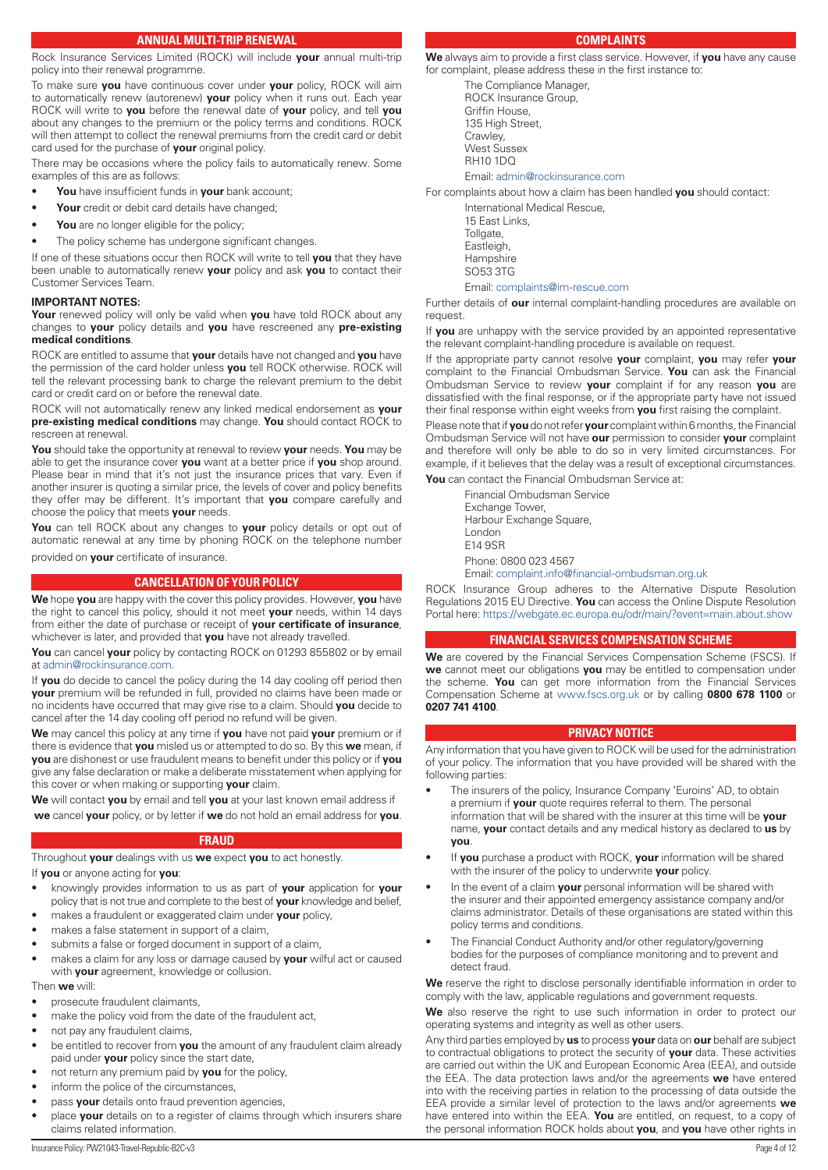### **ANNUAL MULTI-TRIP RENEWAL**

<span id="page-3-0"></span>Rock Insurance Services Limited (ROCK) will include **your** annual multi-trip policy into their renewal programme.

To make sure **you** have continuous cover under **your** policy, ROCK will aim to automatically renew (autorenew) **your** policy when it runs out. Each year ROCK will write to **you** before the renewal date of **your** policy, and tell **you** about any changes to the premium or the policy terms and conditions. ROCK will then attempt to collect the renewal premiums from the credit card or debit card used for the purchase of **your** original policy.

There may be occasions where the policy fails to automatically renew. Some examples of this are as follows:

- **You** have insufficient funds in **your** bank account;
- Your credit or debit card details have changed;
- You are no longer eligible for the policy;
- The policy scheme has undergone significant changes.

If one of these situations occur then ROCK will write to tell **you** that they have been unable to automatically renew **your** policy and ask **you** to contact their Customer Services Team.

#### **IMPORTANT NOTES:**

**Your** renewed policy will only be valid when **you** have told ROCK about any changes to **your** policy details and **you** have rescreened any **pre-existing medical conditions**.

ROCK are entitled to assume that **your** details have not changed and **you** have the permission of the card holder unless **you** tell ROCK otherwise. ROCK will tell the relevant processing bank to charge the relevant premium to the debit card or credit card on or before the renewal date.

ROCK will not automatically renew any linked medical endorsement as **your pre-existing medical conditions** may change. **You** should contact ROCK to rescreen at renewal.

**You** should take the opportunity at renewal to review **your** needs. **You** may be able to get the insurance cover **you** want at a better price if **you** shop around. Please bear in mind that it's not just the insurance prices that vary. Even if another insurer is quoting a similar price, the levels of cover and policy benefits they offer may be different. It's important that **you** compare carefully and choose the policy that meets **your** needs.

**You** can tell ROCK about any changes to **your** policy details or opt out of automatic renewal at any time by phoning ROCK on the telephone number provided on **your** certificate of insurance.

## **CANCELLATION OF YOUR POLICY**

**We** hope **you** are happy with the cover this policy provides. However, **you** have the right to cancel this policy, should it not meet **your** needs, within 14 days from either the date of purchase or receipt of **your certificate of insurance**, whichever is later, and provided that **you** have not already travelled.

**You** can cancel **your** policy by contacting ROCK on 01293 855802 or by email at [admin@rockinsurance.com](mailto:admin@rockinsurance.com).

If **you** do decide to cancel the policy during the 14 day cooling off period then **your** premium will be refunded in full, provided no claims have been made or no incidents have occurred that may give rise to a claim. Should **you** decide to cancel after the 14 day cooling off period no refund will be given.

**We** may cancel this policy at any time if **you** have not paid **your** premium or if there is evidence that **you** misled us or attempted to do so. By this **we** mean, if **you** are dishonest or use fraudulent means to benefit under this policy or if **you** give any false declaration or make a deliberate misstatement when applying for this cover or when making or supporting **your** claim.

**We** will contact **you** by email and tell **you** at your last known email address if **we** cancel **your** policy, or by letter if **we** do not hold an email address for **you**.

#### **FRAUD**

Throughout **your** dealings with us **we** expect **you** to act honestly.

If **you** or anyone acting for **you**:

- knowingly provides information to us as part of **your** application for **your** policy that is not true and complete to the best of **your** knowledge and belief,
- makes a fraudulent or exaggerated claim under **your** policy,
- makes a false statement in support of a claim,
- submits a false or forged document in support of a claim,
- makes a claim for any loss or damage caused by **your** wilful act or caused with **your** agreement, knowledge or collusion.

#### Then **we** will:

- prosecute fraudulent claimants,
- make the policy void from the date of the fraudulent act,
- not pay any fraudulent claims,
- be entitled to recover from **you** the amount of any fraudulent claim already paid under **your** policy since the start date,
- not return any premium paid by **you** for the policy,
- inform the police of the circumstances,
- pass **your** details onto fraud prevention agencies,
- place **your** details on to a register of claims through which insurers share claims related information.

#### **COMPLAINTS**

**We** always aim to provide a first class service. However, if **you** have any cause for complaint, please address these in the first instance to:

The Compliance Manager, ROCK Insurance Group, Griffin House, 135 High Street, Crawley, West Sussex RH10 1DQ

Email: [admin@rockinsurance.com](mailto:admin@rockinsurance.com)

For complaints about how a claim has been handled **you** should contact:

International Medical Rescue, 15 East Links, Tollgate. Eastleigh, Hampshire SO53 3TG

Email: [complaints@im-rescue.com](mailto:complaints@im-rescue.com)

Further details of **our** internal complaint-handling procedures are available on request

If **you** are unhappy with the service provided by an appointed representative the relevant complaint-handling procedure is available on request.

If the appropriate party cannot resolve **your** complaint, **you** may refer **your** complaint to the Financial Ombudsman Service. **You** can ask the Financial Ombudsman Service to review **your** complaint if for any reason **you** are dissatisfied with the final response, or if the appropriate party have not issued their final response within eight weeks from **you** first raising the complaint.

Please note that if **you** do not refer **your** complaint within 6 months, the Financial Ombudsman Service will not have **our** permission to consider **your** complaint and therefore will only be able to do so in very limited circumstances. For example, if it believes that the delay was a result of exceptional circumstances.

**You** can contact the Financial Ombudsman Service at:

Financial Ombudsman Service Exchange Tower, Harbour Exchange Square, London E14 9SR Phone: 0800 023 4567 Email: [complaint.info@financial-ombudsman.org.uk](mailto:complaint.info@financial-ombudsman.org.uk)

ROCK Insurance Group adheres to the Alternative Dispute Resolution Regulations 2015 EU Directive. **You** can access the Online Dispute Resolution Portal here: <https://webgate.ec.europa.eu/odr/main/?event=main.about.show>

#### **FINANCIAL SERVICES COMPENSATION SCHEME**

**We** are covered by the Financial Services Compensation Scheme (FSCS). If **we** cannot meet our obligations **you** may be entitled to compensation under the scheme. **You** can get more information from the Financial Services Compensation Scheme at [www.fscs.org.uk](http://www.fscs.org.uk) or by calling **0800 678 1100** or **0207 741 4100**.

#### **PRIVACY NOTICE**

Any information that you have given to ROCK will be used for the administration of your policy. The information that you have provided will be shared with the following parties:

- The insurers of the policy, Insurance Company 'Euroins' AD, to obtain a premium if **your** quote requires referral to them. The personal information that will be shared with the insurer at this time will be **your** name, **your** contact details and any medical history as declared to **us** by **you**.
- If **you** purchase a product with ROCK, **your** information will be shared with the insurer of the policy to underwrite **your** policy.
- In the event of a claim **your** personal information will be shared with the insurer and their appointed emergency assistance company and/or claims administrator. Details of these organisations are stated within this policy terms and conditions.
- The Financial Conduct Authority and/or other regulatory/governing bodies for the purposes of compliance monitoring and to prevent and detect fraud.

**We** reserve the right to disclose personally identifiable information in order to comply with the law, applicable regulations and government requests.

**We** also reserve the right to use such information in order to protect our operating systems and integrity as well as other users.

Any third parties employed by **us** to process **your** data on **our** behalf are subject to contractual obligations to protect the security of **your** data. These activities are carried out within the UK and European Economic Area (EEA), and outside the EEA. The data protection laws and/or the agreements **we** have entered into with the receiving parties in relation to the processing of data outside the EEA provide a similar level of protection to the laws and/or agreements **we** have entered into within the EEA. **You** are entitled, on request, to a copy of the personal information ROCK holds about **you**, and **you** have other rights in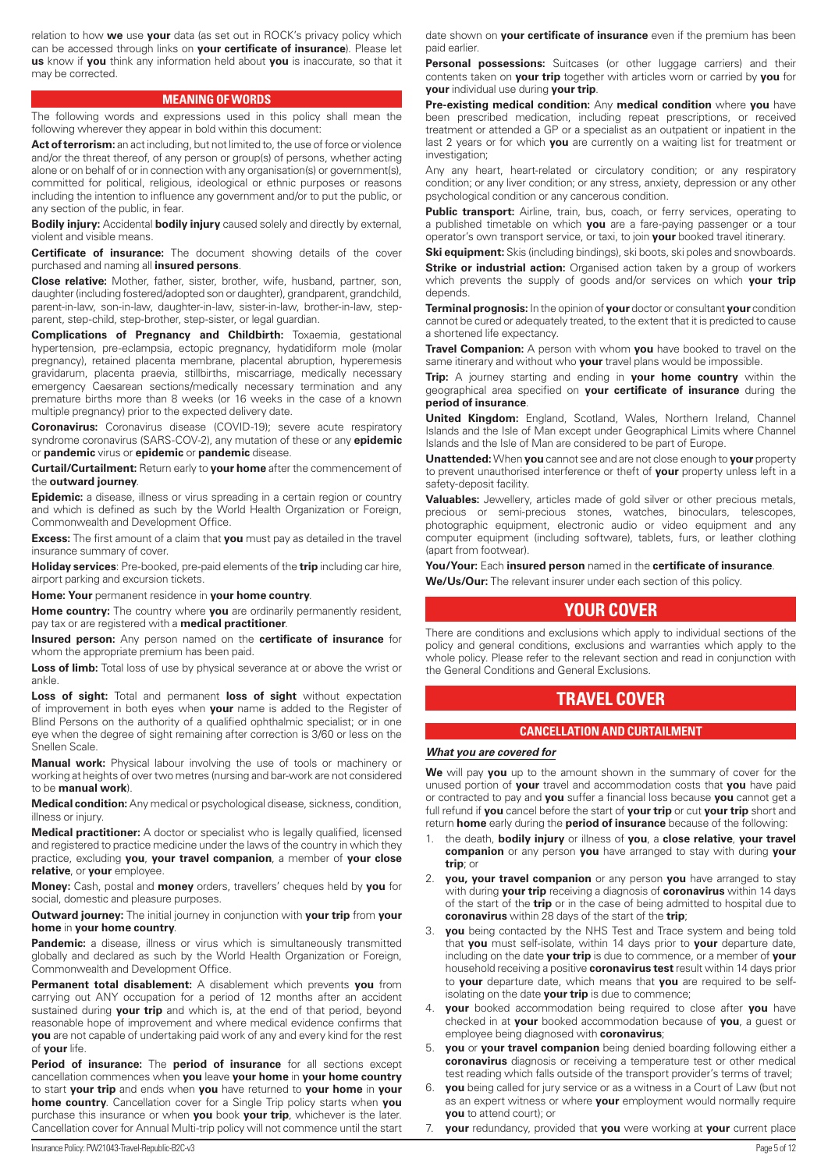<span id="page-4-0"></span>relation to how **we** use **your** data (as set out in ROCK's privacy policy which can be accessed through links on **your certificate of insurance**). Please let **us** know if **you** think any information held about **you** is inaccurate, so that it may be corrected.

#### **MEANING OF WORDS**

The following words and expressions used in this policy shall mean the following wherever they appear in bold within this document:

Act of terrorism: an act including, but not limited to, the use of force or violence and/or the threat thereof, of any person or group(s) of persons, whether acting alone or on behalf of or in connection with any organisation(s) or government(s), committed for political, religious, ideological or ethnic purposes or reasons including the intention to influence any government and/or to put the public, or any section of the public, in fear.

**Bodily injury:** Accidental **bodily injury** caused solely and directly by external, violent and visible means.

**Certificate of insurance:** The document showing details of the cover purchased and naming all **insured persons**.

**Close relative:** Mother, father, sister, brother, wife, husband, partner, son, daughter (including fostered/adopted son or daughter), grandparent, grandchild, parent-in-law, son-in-law, daughter-in-law, sister-in-law, brother-in-law, stepparent, step-child, step-brother, step-sister, or legal guardian.

**Complications of Pregnancy and Childbirth:** Toxaemia, gestational hypertension, pre-eclampsia, ectopic pregnancy, hydatidiform mole (molar pregnancy), retained placenta membrane, placental abruption, hyperemesis gravidarum, placenta praevia, stillbirths, miscarriage, medically necessary emergency Caesarean sections/medically necessary termination and any premature births more than 8 weeks (or 16 weeks in the case of a known multiple pregnancy) prior to the expected delivery date.

**Coronavirus:** Coronavirus disease (COVID-19); severe acute respiratory syndrome coronavirus (SARS-COV-2), any mutation of these or any **epidemic** or **pandemic** virus or **epidemic** or **pandemic** disease.

**Curtail/Curtailment:** Return early to **your home** after the commencement of the **outward journey**.

**Epidemic:** a disease, illness or virus spreading in a certain region or country and which is defined as such by the World Health Organization or Foreign, Commonwealth and Development Office.

**Excess:** The first amount of a claim that **you** must pay as detailed in the travel insurance summary of cover.

**Holiday services**: Pre-booked, pre-paid elements of the **trip** including car hire, airport parking and excursion tickets.

**Home: Your** permanent residence in **your home country**.

**Home country:** The country where **you** are ordinarily permanently resident, pay tax or are registered with a **medical practitioner**.

**Insured person:** Any person named on the **certificate of insurance** for whom the appropriate premium has been paid.

Loss of limb: Total loss of use by physical severance at or above the wrist or ankle.

**Loss of sight:** Total and permanent **loss of sight** without expectation of improvement in both eyes when **your** name is added to the Register of Blind Persons on the authority of a qualified ophthalmic specialist; or in one eye when the degree of sight remaining after correction is 3/60 or less on the Snellen Scale.

**Manual work:** Physical labour involving the use of tools or machinery or working at heights of over two metres (nursing and bar-work are not considered to be **manual work**).

**Medical condition:** Any medical or psychological disease, sickness, condition, illness or injury.

**Medical practitioner:** A doctor or specialist who is legally qualified, licensed and registered to practice medicine under the laws of the country in which they practice, excluding **you**, **your travel companion**, a member of **your close relative**, or **your** employee.

**Money:** Cash, postal and **money** orders, travellers' cheques held by **you** for social, domestic and pleasure purposes.

**Outward journey:** The initial journey in conjunction with **your trip** from **your home** in **your home country**.

**Pandemic:** a disease, illness or virus which is simultaneously transmitted globally and declared as such by the World Health Organization or Foreign, Commonwealth and Development Office.

**Permanent total disablement:** A disablement which prevents **you** from carrying out ANY occupation for a period of 12 months after an accident sustained during **your trip** and which is, at the end of that period, beyond reasonable hope of improvement and where medical evidence confirms that **you** are not capable of undertaking paid work of any and every kind for the rest of **your** life.

**Period of insurance:** The **period of insurance** for all sections except cancellation commences when **you** leave **your home** in **your home country** to start **your trip** and ends when **you** have returned to **your home** in **your home country**. Cancellation cover for a Single Trip policy starts when **you** purchase this insurance or when **you** book **your trip**, whichever is the later. Cancellation cover for Annual Multi-trip policy will not commence until the start

date shown on **your certificate of insurance** even if the premium has been paid earlier.

Personal possessions: Suitcases (or other luggage carriers) and their contents taken on **your trip** together with articles worn or carried by **you** for **your** individual use during **your trip**.

**Pre-existing medical condition:** Any **medical condition** where **you** have been prescribed medication, including repeat prescriptions, or received treatment or attended a GP or a specialist as an outpatient or inpatient in the last 2 years or for which **you** are currently on a waiting list for treatment or investigation:

Any any heart, heart-related or circulatory condition; or any respiratory condition; or any liver condition; or any stress, anxiety, depression or any other psychological condition or any cancerous condition.

**Public transport:** Airline, train, bus, coach, or ferry services, operating to a published timetable on which **you** are a fare-paying passenger or a tour operator's own transport service, or taxi, to join **your** booked travel itinerary.

**Ski equipment:** Skis (including bindings), ski boots, ski poles and snowboards.

**Strike or industrial action:** Organised action taken by a group of workers which prevents the supply of goods and/or services on which **your trip** depends.

**Terminal prognosis:** In the opinion of **your** doctor or consultant **your** condition cannot be cured or adequately treated, to the extent that it is predicted to cause a shortened life expectancy.

**Travel Companion:** A person with whom **you** have booked to travel on the same itinerary and without who **your** travel plans would be impossible.

**Trip:** A journey starting and ending in **your home country** within the geographical area specified on **your certificate of insurance** during the **period of insurance**.

**United Kingdom:** England, Scotland, Wales, Northern Ireland, Channel Islands and the Isle of Man except under Geographical Limits where Channel Islands and the Isle of Man are considered to be part of Europe.

**Unattended:** When **you** cannot see and are not close enough to **your** property to prevent unauthorised interference or theft of **your** property unless left in a safety-deposit facility.

**Valuables:** Jewellery, articles made of gold silver or other precious metals, precious or semi-precious stones, watches, binoculars, telescopes, photographic equipment, electronic audio or video equipment and any computer equipment (including software), tablets, furs, or leather clothing (apart from footwear).

**You/Your:** Each **insured person** named in the **certificate of insurance**.

**We/Us/Our:** The relevant insurer under each section of this policy.

# **YOUR COVER**

There are conditions and exclusions which apply to individual sections of the policy and general conditions, exclusions and warranties which apply to the whole policy. Please refer to the relevant section and read in conjunction with the General Conditions and General Exclusions.

# **TRAVEL COVER**

#### **CANCELLATION AND CURTAILMENT**

## *What you are covered for*

**We** will pay **you** up to the amount shown in the summary of cover for the unused portion of **your** travel and accommodation costs that **you** have paid or contracted to pay and **you** suffer a financial loss because **you** cannot get a full refund if **you** cancel before the start of **your trip** or cut **your trip** short and return **home** early during the **period of insurance** because of the following:

- 1. the death, **bodily injury** or illness of **you**, a **close relative**, **your travel companion** or any person **you** have arranged to stay with during **your trip**; or
- 2. **you, your travel companion** or any person **you** have arranged to stay with during **your trip** receiving a diagnosis of **coronavirus** within 14 days of the start of the **trip** or in the case of being admitted to hospital due to **coronavirus** within 28 days of the start of the **trip**;
- **you** being contacted by the NHS Test and Trace system and being told that **you** must self-isolate, within 14 days prior to **your** departure date, including on the date **your trip** is due to commence, or a member of **your** household receiving a positive **coronavirus test** result within 14 days prior to **your** departure date, which means that **you** are required to be selfisolating on the date **your trip** is due to commence;
- 4. **your** booked accommodation being required to close after **you** have checked in at **your** booked accommodation because of **you**, a guest or employee being diagnosed with **coronavirus**;
- 5. **you** or **your travel companion** being denied boarding following either a **coronavirus** diagnosis or receiving a temperature test or other medical test reading which falls outside of the transport provider's terms of travel;
- **you** being called for jury service or as a witness in a Court of Law (but not as an expert witness or where **your** employment would normally require **you** to attend court); or
- 7. **your** redundancy, provided that **you** were working at **your** current place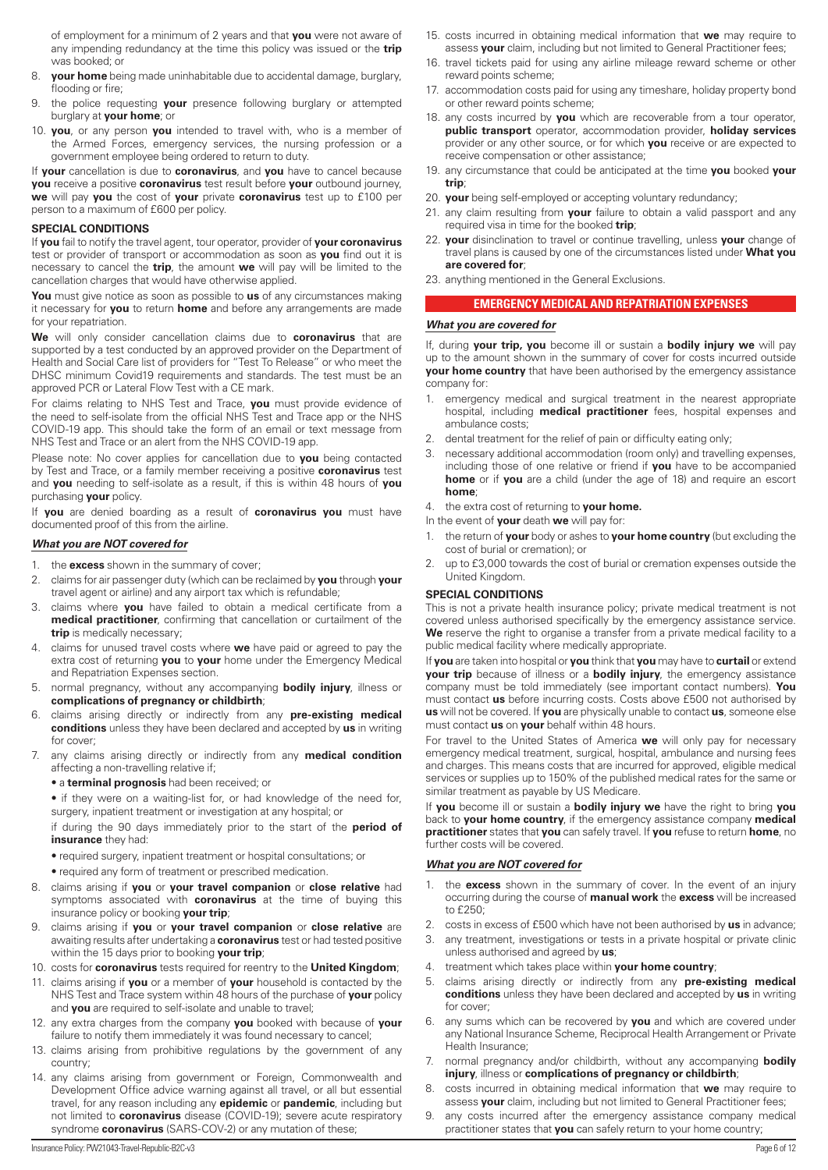<span id="page-5-0"></span>of employment for a minimum of 2 years and that **you** were not aware of any impending redundancy at the time this policy was issued or the **trip** was booked; or

- 8. **your home** being made uninhabitable due to accidental damage, burglary, flooding or fire;
- 9. the police requesting **your** presence following burglary or attempted burglary at **your home**; or
- 10. **you**, or any person **you** intended to travel with, who is a member of the Armed Forces, emergency services, the nursing profession or a government employee being ordered to return to duty.

If **your** cancellation is due to **coronavirus**, and **you** have to cancel because **you** receive a positive **coronavirus** test result before **your** outbound journey, **we** will pay **you** the cost of **your** private **coronavirus** test up to £100 per person to a maximum of £600 per policy.

#### **SPECIAL CONDITIONS**

If **you** fail to notify the travel agent, tour operator, provider of **your coronavirus** test or provider of transport or accommodation as soon as **you** find out it is necessary to cancel the **trip**, the amount **we** will pay will be limited to the cancellation charges that would have otherwise applied.

**You** must give notice as soon as possible to **us** of any circumstances making it necessary for **you** to return **home** and before any arrangements are made for your repatriation.

**We** will only consider cancellation claims due to **coronavirus** that are supported by a test conducted by an approved provider on the Department of Health and Social Care list of providers for "Test To Release" or who meet the DHSC minimum Covid19 requirements and standards. The test must be an approved PCR or Lateral Flow Test with a CE mark.

For claims relating to NHS Test and Trace, **you** must provide evidence of the need to self-isolate from the official NHS Test and Trace app or the NHS COVID-19 app. This should take the form of an email or text message from NHS Test and Trace or an alert from the NHS COVID-19 app.

Please note: No cover applies for cancellation due to **you** being contacted by Test and Trace, or a family member receiving a positive **coronavirus** test and **you** needing to self-isolate as a result, if this is within 48 hours of **you** purchasing **your** policy.

If **you** are denied boarding as a result of **coronavirus you** must have documented proof of this from the airline.

#### *What you are NOT covered for*

- 1. the **excess** shown in the summary of cover;
- 2. claims for air passenger duty (which can be reclaimed by **you** through **your** travel agent or airline) and any airport tax which is refundable;
- 3. claims where **you** have failed to obtain a medical certificate from a **medical practitioner**, confirming that cancellation or curtailment of the **trip** is medically necessary;
- 4. claims for unused travel costs where **we** have paid or agreed to pay the extra cost of returning **you** to **your** home under the Emergency Medical and Repatriation Expenses section.
- 5. normal pregnancy, without any accompanying **bodily injury**, illness or **complications of pregnancy or childbirth**;
- 6. claims arising directly or indirectly from any **pre-existing medical conditions** unless they have been declared and accepted by **us** in writing for cover;
- 7. any claims arising directly or indirectly from any **medical condition** affecting a non-travelling relative if;
	- a **terminal prognosis** had been received; or

• if they were on a waiting-list for, or had knowledge of the need for, surgery, inpatient treatment or investigation at any hospital; or

if during the 90 days immediately prior to the start of the **period of insurance** they had:

- required surgery, inpatient treatment or hospital consultations; or
- required any form of treatment or prescribed medication.
- 8. claims arising if **you** or **your travel companion** or **close relative** had symptoms associated with **coronavirus** at the time of buying this insurance policy or booking **your trip**;
- 9. claims arising if **you** or **your travel companion** or **close relative** are awaiting results after undertaking a **coronavirus** test or had tested positive within the 15 days prior to booking **your trip**;
- 10. costs for **coronavirus** tests required for reentry to the **United Kingdom**;
- 11. claims arising if **you** or a member of **your** household is contacted by the NHS Test and Trace system within 48 hours of the purchase of **your** policy and **you** are required to self-isolate and unable to travel;
- 12. any extra charges from the company **you** booked with because of **your**  failure to notify them immediately it was found necessary to cancel;
- 13. claims arising from prohibitive regulations by the government of any country;
- 14. any claims arising from government or Foreign, Commonwealth and Development Office advice warning against all travel, or all but essential travel, for any reason including any **epidemic** or **pandemic**, including but not limited to **coronavirus** disease (COVID-19); severe acute respiratory syndrome **coronavirus** (SARS-COV-2) or any mutation of these;
- 15. costs incurred in obtaining medical information that **we** may require to assess **your** claim, including but not limited to General Practitioner fees;
- 16. travel tickets paid for using any airline mileage reward scheme or other reward points scheme;
- 17. accommodation costs paid for using any timeshare, holiday property bond or other reward points scheme;
- 18. any costs incurred by **you** which are recoverable from a tour operator, **public transport** operator, accommodation provider, **holiday services** provider or any other source, or for which **you** receive or are expected to receive compensation or other assistance;
- 19. any circumstance that could be anticipated at the time **you** booked **your trip**;
- 20. **your** being self-employed or accepting voluntary redundancy;
- 21. any claim resulting from **your** failure to obtain a valid passport and any required visa in time for the booked **trip**;
- 22. **your** disinclination to travel or continue travelling, unless **your** change of travel plans is caused by one of the circumstances listed under **What you are covered for**;
- 23. anything mentioned in the General Exclusions.

#### **EMERGENCY MEDICAL AND REPATRIATION EXPENSES**

#### *What you are covered for*

If, during **your trip, you** become ill or sustain a **bodily injury we** will pay up to the amount shown in the summary of cover for costs incurred outside **your home country** that have been authorised by the emergency assistance company for:

- 1. emergency medical and surgical treatment in the nearest appropriate hospital, including **medical practitioner** fees, hospital expenses and ambulance costs;
- 2. dental treatment for the relief of pain or difficulty eating only;
- 3. necessary additional accommodation (room only) and travelling expenses, including those of one relative or friend if **you** have to be accompanied **home** or if **you** are a child (under the age of 18) and require an escort **home**;
- 4. the extra cost of returning to **your home.**

In the event of **your** death **we** will pay for:

- 1. the return of **your** body or ashes to **your home country** (but excluding the cost of burial or cremation); or
- 2. up to £3,000 towards the cost of burial or cremation expenses outside the United Kingdom.

#### **SPECIAL CONDITIONS**

This is not a private health insurance policy; private medical treatment is not covered unless authorised specifically by the emergency assistance service. We reserve the right to organise a transfer from a private medical facility to a public medical facility where medically appropriate.

If **you** are taken into hospital or **you** think that **you** may have to **curtail** or extend **your trip** because of illness or a **bodily injury**, the emergency assistance company must be told immediately (see important contact numbers). **You** must contact **us** before incurring costs. Costs above £500 not authorised by **us** will not be covered. If **you** are physically unable to contact **us**, someone else must contact **us** on **your** behalf within 48 hours.

For travel to the United States of America **we** will only pay for necessary emergency medical treatment, surgical, hospital, ambulance and nursing fees and charges. This means costs that are incurred for approved, eligible medical services or supplies up to 150% of the published medical rates for the same or similar treatment as payable by US Medicare.

If **you** become ill or sustain a **bodily injury we** have the right to bring **you** back to **your home country**, if the emergency assistance company **medical practitioner** states that **you** can safely travel. If **you** refuse to return **home**, no further costs will be covered.

#### *What you are NOT covered for*

- 1. the **excess** shown in the summary of cover. In the event of an injury occurring during the course of **manual work** the **excess** will be increased to £250;
- 2. costs in excess of £500 which have not been authorised by **us** in advance;
- 3. any treatment, investigations or tests in a private hospital or private clinic unless authorised and agreed by **us**;
- 4. treatment which takes place within **your home country**;
- 5. claims arising directly or indirectly from any **pre-existing medical conditions** unless they have been declared and accepted by **us** in writing for cover;
- 6. any sums which can be recovered by **you** and which are covered under any National Insurance Scheme, Reciprocal Health Arrangement or Private Health Insurance;
- 7. normal pregnancy and/or childbirth, without any accompanying **bodily injury**, illness or **complications of pregnancy or childbirth**;
- 8. costs incurred in obtaining medical information that **we** may require to assess **your** claim, including but not limited to General Practitioner fees;
- 9. any costs incurred after the emergency assistance company medical practitioner states that **you** can safely return to your home country;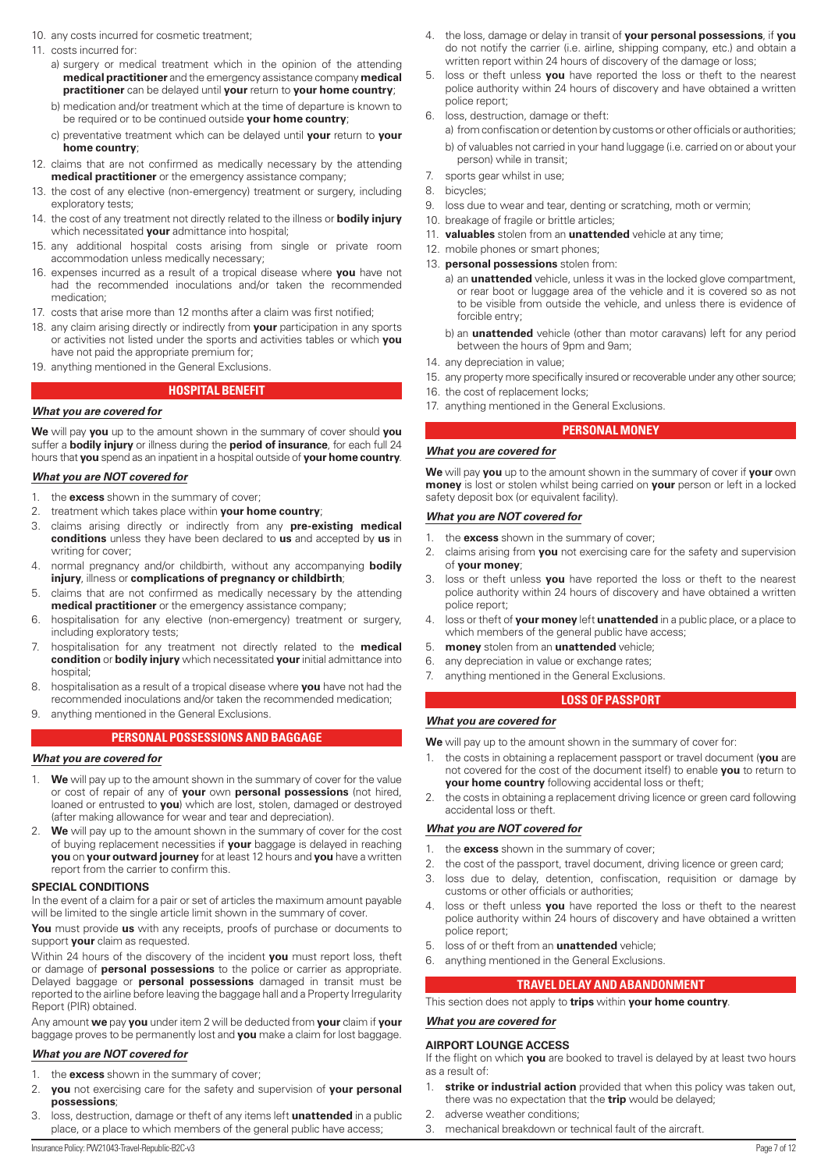- <span id="page-6-0"></span>10. any costs incurred for cosmetic treatment;
- 11. costs incurred for:
	- a) surgery or medical treatment which in the opinion of the attending **medical practitioner** and the emergency assistance company **medical practitioner** can be delayed until **your** return to **your home country**;
	- b) medication and/or treatment which at the time of departure is known to be required or to be continued outside **your home country**;
	- c) preventative treatment which can be delayed until **your** return to **your home country**;
- 12. claims that are not confirmed as medically necessary by the attending **medical practitioner** or the emergency assistance company;
- 13. the cost of any elective (non-emergency) treatment or surgery, including exploratory tests;
- 14. the cost of any treatment not directly related to the illness or **bodily injury**  which necessitated **your** admittance into hospital;
- 15. any additional hospital costs arising from single or private room accommodation unless medically necessary;
- 16. expenses incurred as a result of a tropical disease where **you** have not had the recommended inoculations and/or taken the recommended medication;
- 17. costs that arise more than 12 months after a claim was first notified;
- 18. any claim arising directly or indirectly from **your** participation in any sports or activities not listed under the sports and activities tables or which **you** have not paid the appropriate premium for;
- 19. anything mentioned in the General Exclusions.

## **HOSPITAL BENEFIT**

#### *What you are covered for*

**We** will pay **you** up to the amount shown in the summary of cover should **you** suffer a **bodily injury** or illness during the **period of insurance**, for each full 24 hours that **you** spend as an inpatient in a hospital outside of **your home country**.

#### *What you are NOT covered for*

- 1. the **excess** shown in the summary of cover;
- 2. treatment which takes place within **your home country**;
- 3. claims arising directly or indirectly from any **pre-existing medical conditions** unless they have been declared to **us** and accepted by **us** in writing for cover;
- 4. normal pregnancy and/or childbirth, without any accompanying **bodily injury**, illness or **complications of pregnancy or childbirth**;
- 5. claims that are not confirmed as medically necessary by the attending **medical practitioner** or the emergency assistance company;
- 6. hospitalisation for any elective (non-emergency) treatment or surgery, including exploratory tests;
- 7. hospitalisation for any treatment not directly related to the **medical condition** or **bodily injury** which necessitated **your** initial admittance into hospital;
- 8. hospitalisation as a result of a tropical disease where **you** have not had the recommended inoculations and/or taken the recommended medication;
- 9. anything mentioned in the General Exclusions.

## **PERSONAL POSSESSIONS AND BAGGAGE**

#### *What you are covered for*

- 1. **We** will pay up to the amount shown in the summary of cover for the value or cost of repair of any of **your** own **personal possessions** (not hired, loaned or entrusted to **you**) which are lost, stolen, damaged or destroyed (after making allowance for wear and tear and depreciation).
- 2. **We** will pay up to the amount shown in the summary of cover for the cost of buying replacement necessities if **your** baggage is delayed in reaching **you** on **your outward journey** for at least 12 hours and **you** have a written report from the carrier to confirm this.

#### **SPECIAL CONDITIONS**

In the event of a claim for a pair or set of articles the maximum amount payable will be limited to the single article limit shown in the summary of cover.

**You** must provide **us** with any receipts, proofs of purchase or documents to support **your** claim as requested.

Within 24 hours of the discovery of the incident **you** must report loss, theft or damage of **personal possessions** to the police or carrier as appropriate. Delayed baggage or **personal possessions** damaged in transit must be reported to the airline before leaving the baggage hall and a Property Irregularity Report (PIR) obtained.

Any amount **we** pay **you** under item 2 will be deducted from **your** claim if **your** baggage proves to be permanently lost and **you** make a claim for lost baggage.

#### *What you are NOT covered for*

- 1. the **excess** shown in the summary of cover;
- 2. **you** not exercising care for the safety and supervision of **your personal possessions**;
- 3. loss, destruction, damage or theft of any items left **unattended** in a public place, or a place to which members of the general public have access;
- 4. the loss, damage or delay in transit of **your personal possessions**, if **you** do not notify the carrier (i.e. airline, shipping company, etc.) and obtain a written report within 24 hours of discovery of the damage or loss;
- 5. loss or theft unless **you** have reported the loss or theft to the nearest police authority within 24 hours of discovery and have obtained a written police report;
- 6. loss, destruction, damage or theft:
	- a) from confiscation or detention by customs or other officials or authorities; b) of valuables not carried in your hand luggage (i.e. carried on or about your person) while in transit;
- 7. sports gear whilst in use;
- 8. bicycles;
- 9. loss due to wear and tear, denting or scratching, moth or vermin;
- 10. breakage of fragile or brittle articles;
- 11. **valuables** stolen from an **unattended** vehicle at any time;
- 12. mobile phones or smart phones;
- 13. **personal possessions** stolen from:
	- a) an **unattended** vehicle, unless it was in the locked glove compartment, or rear boot or luggage area of the vehicle and it is covered so as not to be visible from outside the vehicle, and unless there is evidence of forcible entry;
	- b) an **unattended** vehicle (other than motor caravans) left for any period between the hours of 9pm and 9am;
- 14. any depreciation in value;
- 15. any property more specifically insured or recoverable under any other source;
- 16. the cost of replacement locks;
- 17. anything mentioned in the General Exclusions.

#### **PERSONAL MONEY**

#### *What you are covered for*

**We** will pay **you** up to the amount shown in the summary of cover if **your** own **money** is lost or stolen whilst being carried on **your** person or left in a locked safety deposit box (or equivalent facility).

#### *What you are NOT covered for*

- 1. the **excess** shown in the summary of cover;
- 2. claims arising from **you** not exercising care for the safety and supervision of **your money**;
- 3. loss or theft unless **you** have reported the loss or theft to the nearest police authority within 24 hours of discovery and have obtained a written police report;
- 4. loss or theft of **your money** left **unattended** in a public place, or a place to which members of the general public have access;
- 5. **money** stolen from an **unattended** vehicle;
- 6. any depreciation in value or exchange rates;
- 7. anything mentioned in the General Exclusions.

#### **LOSS OF PASSPORT**

#### *What you are covered for*

**We** will pay up to the amount shown in the summary of cover for:

- 1. the costs in obtaining a replacement passport or travel document (**you** are not covered for the cost of the document itself) to enable **you** to return to **your home country** following accidental loss or theft;
- 2. the costs in obtaining a replacement driving licence or green card following accidental loss or theft.

#### *What you are NOT covered for*

- 1. the **excess** shown in the summary of cover;
- 2. the cost of the passport, travel document, driving licence or green card;
- 3. loss due to delay, detention, confiscation, requisition or damage by customs or other officials or authorities;
- 4. loss or theft unless **you** have reported the loss or theft to the nearest police authority within 24 hours of discovery and have obtained a written police report;
- 5. loss of or theft from an **unattended** vehicle;
- 6. anything mentioned in the General Exclusions.

#### **TRAVEL DELAY AND ABANDONMENT**

This section does not apply to **trips** within **your home country**.

## *What you are covered for*

#### **AIRPORT LOUNGE ACCESS**

If the flight on which **you** are booked to travel is delayed by at least two hours as a result of:

- 1. **strike or industrial action** provided that when this policy was taken out, there was no expectation that the **trip** would be delayed;
- 2. adverse weather conditions;
- 3. mechanical breakdown or technical fault of the aircraft.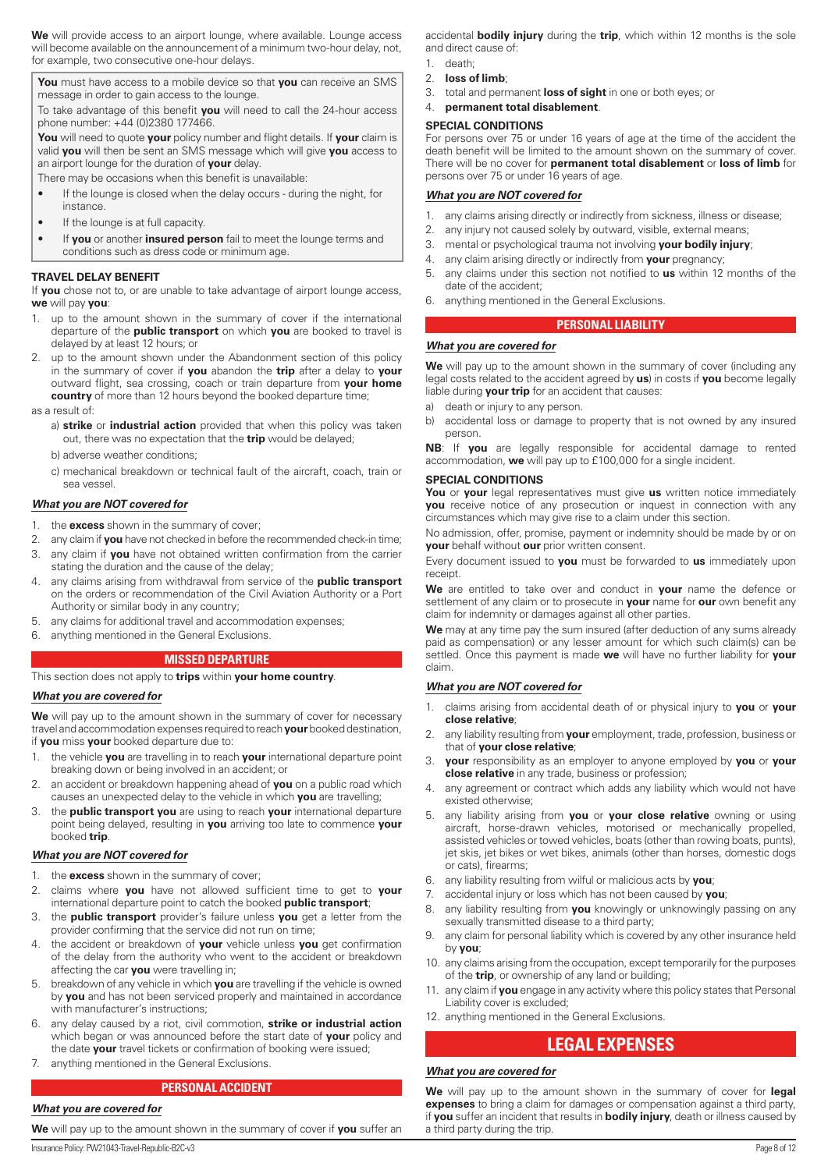<span id="page-7-0"></span>**We** will provide access to an airport lounge, where available. Lounge access will become available on the announcement of a minimum two-hour delay, not, for example, two consecutive one-hour delays.

**You** must have access to a mobile device so that **you** can receive an SMS message in order to gain access to the lounge.

To take advantage of this benefit **you** will need to call the 24-hour access phone number: +44 (0)2380 177466.

**You** will need to quote **your** policy number and flight details. If **your** claim is valid **you** will then be sent an SMS message which will give **you** access to an airport lounge for the duration of **your** delay.

There may be occasions when this benefit is unavailable:

- If the lounge is closed when the delay occurs during the night, for instance.
- If the lounge is at full capacity.
- If **you** or another **insured person** fail to meet the lounge terms and conditions such as dress code or minimum age.

#### **TRAVEL DELAY BENEFIT**

If **you** chose not to, or are unable to take advantage of airport lounge access, **we** will pay **you**:

- 1. up to the amount shown in the summary of cover if the international departure of the **public transport** on which **you** are booked to travel is delayed by at least 12 hours; or
- up to the amount shown under the Abandonment section of this policy in the summary of cover if **you** abandon the **trip** after a delay to **your** outward flight, sea crossing, coach or train departure from **your home country** of more than 12 hours beyond the booked departure time;
- as a result of:
	- a) **strike** or **industrial action** provided that when this policy was taken out, there was no expectation that the **trip** would be delayed;
	- b) adverse weather conditions;
	- c) mechanical breakdown or technical fault of the aircraft, coach, train or sea vessel.

#### *What you are NOT covered for*

- 1. the **excess** shown in the summary of cover;
- 2. any claim if **you** have not checked in before the recommended check-in time;
- 3. any claim if **you** have not obtained written confirmation from the carrier stating the duration and the cause of the delay;
- 4. any claims arising from withdrawal from service of the **public transport**  on the orders or recommendation of the Civil Aviation Authority or a Port Authority or similar body in any country;
- 5. any claims for additional travel and accommodation expenses;
- 6. anything mentioned in the General Exclusions.

#### **MISSED DEPARTURE**

## This section does not apply to **trips** within **your home country**.

#### *What you are covered for*

We will pay up to the amount shown in the summary of cover for necessary travel and accommodation expenses required to reach **your** booked destination, if **you** miss **your** booked departure due to:

- 1. the vehicle **you** are travelling in to reach **your** international departure point breaking down or being involved in an accident; or
- 2. an accident or breakdown happening ahead of **you** on a public road which causes an unexpected delay to the vehicle in which **you** are travelling;
- 3. the **public transport you** are using to reach **your** international departure point being delayed, resulting in **you** arriving too late to commence **your** booked **trip**.

#### *What you are NOT covered for*

- 1. the **excess** shown in the summary of cover;
- 2. claims where **you** have not allowed sufficient time to get to **your** international departure point to catch the booked **public transport**;
- 3. the **public transport** provider's failure unless **you** get a letter from the provider confirming that the service did not run on time;
- 4. the accident or breakdown of **your** vehicle unless **you** get confirmation of the delay from the authority who went to the accident or breakdown affecting the car **you** were travelling in;
- 5. breakdown of any vehicle in which **you** are travelling if the vehicle is owned by **you** and has not been serviced properly and maintained in accordance with manufacturer's instructions;
- 6. any delay caused by a riot, civil commotion, **strike or industrial action** which began or was announced before the start date of **your** policy and the date **your** travel tickets or confirmation of booking were issued;
- 7. anything mentioned in the General Exclusions.

#### **PERSONAL ACCIDENT**

#### *What you are covered for*

Insurance Policy: PW21043-Travel-Republic-B2C-v3 Page 8 of 12 **We** will pay up to the amount shown in the summary of cover if **you** suffer an

accidental **bodily injury** during the **trip**, which within 12 months is the sole and direct cause of:

- 1. death; 2. **loss of limb**;
- 3. total and permanent **loss of sight** in one or both eyes; or
- 4. **permanent total disablement**.

#### **SPECIAL CONDITIONS**

For persons over 75 or under 16 years of age at the time of the accident the death benefit will be limited to the amount shown on the summary of cover. There will be no cover for **permanent total disablement** or **loss of limb** for persons over 75 or under 16 years of age.

#### *What you are NOT covered for*

- 1. any claims arising directly or indirectly from sickness, illness or disease;
- 2. any injury not caused solely by outward, visible, external means;
- 3. mental or psychological trauma not involving **your bodily injury**;
- 4. any claim arising directly or indirectly from **your** pregnancy;
- 5. any claims under this section not notified to **us** within 12 months of the date of the accident;
- 6. anything mentioned in the General Exclusions.

#### **PERSONAL LIABILITY**

#### *What you are covered for*

**We** will pay up to the amount shown in the summary of cover (including any legal costs related to the accident agreed by **us**) in costs if **you** become legally liable during **your trip** for an accident that causes:

- a) death or injury to any person.
- b) accidental loss or damage to property that is not owned by any insured person.

**NB**: If **you** are legally responsible for accidental damage to rented accommodation, **we** will pay up to £100,000 for a single incident.

#### **SPECIAL CONDITIONS**

**You** or **your** legal representatives must give **us** written notice immediately **you** receive notice of any prosecution or inquest in connection with any circumstances which may give rise to a claim under this section.

No admission, offer, promise, payment or indemnity should be made by or on **your** behalf without **our** prior written consent.

Every document issued to **you** must be forwarded to **us** immediately upon receipt.

**We** are entitled to take over and conduct in **your** name the defence or settlement of any claim or to prosecute in **your** name for **our** own benefit any claim for indemnity or damages against all other parties.

**We** may at any time pay the sum insured (after deduction of any sums already paid as compensation) or any lesser amount for which such claim(s) can be settled. Once this payment is made **we** will have no further liability for **your** claim.

#### *What you are NOT covered for*

- 1. claims arising from accidental death of or physical injury to **you** or **your close relative**;
- 2. any liability resulting from **your** employment, trade, profession, business or that of **your close relative**;
- 3. **your** responsibility as an employer to anyone employed by **you** or **your close relative** in any trade, business or profession;
- 4. any agreement or contract which adds any liability which would not have existed otherwise;
- 5. any liability arising from **you** or **your close relative** owning or using aircraft, horse-drawn vehicles, motorised or mechanically propelled, assisted vehicles or towed vehicles, boats (other than rowing boats, punts), jet skis, jet bikes or wet bikes, animals (other than horses, domestic dogs or cats), firearms;
- 6. any liability resulting from wilful or malicious acts by **you**;
- 7. accidental injury or loss which has not been caused by **you**;
- 8. any liability resulting from **you** knowingly or unknowingly passing on any sexually transmitted disease to a third party;
- 9. any claim for personal liability which is covered by any other insurance held by **you**;
- 10. any claims arising from the occupation, except temporarily for the purposes of the **trip**, or ownership of any land or building;
- 11. any claim if **you** engage in any activity where this policy states that Personal Liability cover is excluded;
- 12. anything mentioned in the General Exclusions.

# **LEGAL EXPENSES**

## *What you are covered for*

**We** will pay up to the amount shown in the summary of cover for **legal expenses** to bring a claim for damages or compensation against a third party, if **you** suffer an incident that results in **bodily injury**, death or illness caused by a third party during the trip.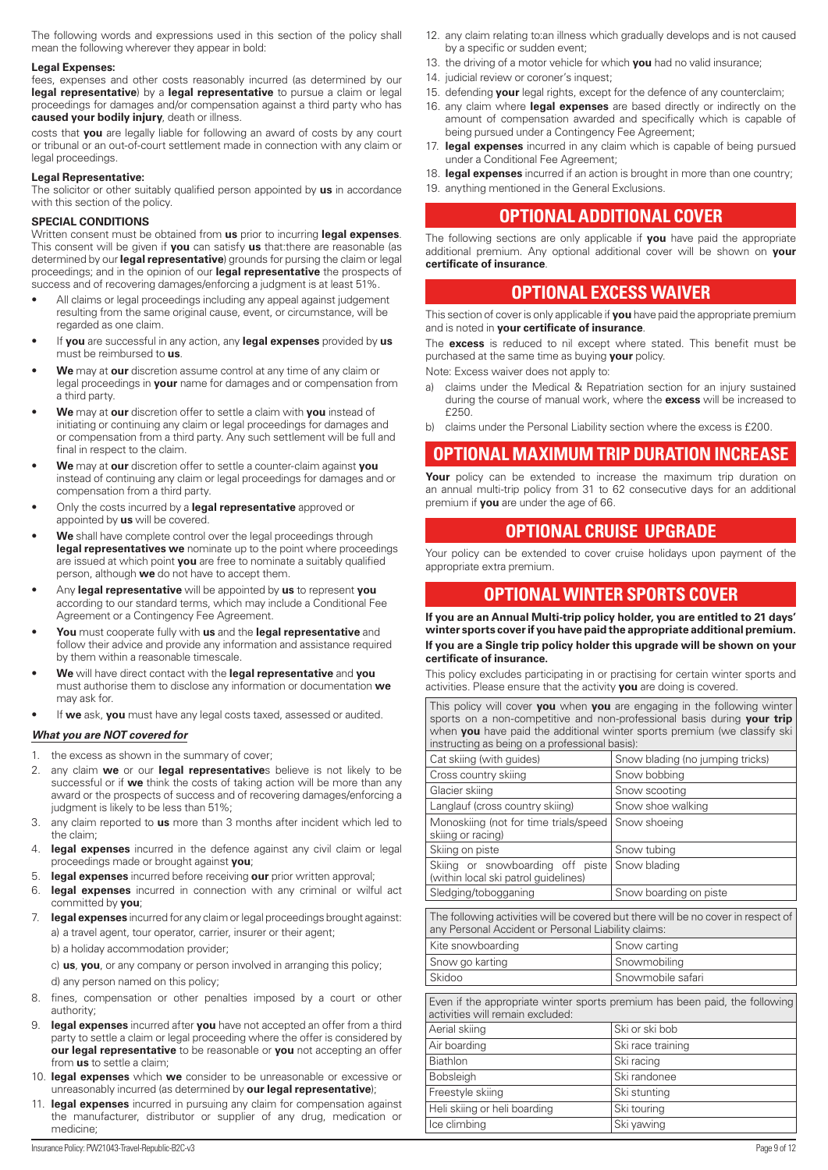<span id="page-8-0"></span>The following words and expressions used in this section of the policy shall mean the following wherever they appear in bold:

#### **Legal Expenses:**

fees, expenses and other costs reasonably incurred (as determined by our **legal representative**) by a **legal representative** to pursue a claim or legal proceedings for damages and/or compensation against a third party who has **caused your bodily injury**, death or illness.

costs that **you** are legally liable for following an award of costs by any court or tribunal or an out-of-court settlement made in connection with any claim or legal proceedings.

#### **Legal Representative:**

The solicitor or other suitably qualified person appointed by **us** in accordance with this section of the policy.

#### **SPECIAL CONDITIONS**

Written consent must be obtained from **us** prior to incurring **legal expenses**. This consent will be given if **you** can satisfy **us** that:there are reasonable (as determined by our **legal representative**) grounds for pursing the claim or legal proceedings; and in the opinion of our **legal representative** the prospects of success and of recovering damages/enforcing a judgment is at least 51%.

- All claims or legal proceedings including any appeal against judgement resulting from the same original cause, event, or circumstance, will be regarded as one claim.
- If **you** are successful in any action, any **legal expenses** provided by **us** must be reimbursed to **us**.
- **We** may at **our** discretion assume control at any time of any claim or legal proceedings in **your** name for damages and or compensation from a third party.
- **We** may at **our** discretion offer to settle a claim with **you** instead of initiating or continuing any claim or legal proceedings for damages and or compensation from a third party. Any such settlement will be full and final in respect to the claim.
- **We** may at **our** discretion offer to settle a counter-claim against **you** instead of continuing any claim or legal proceedings for damages and or compensation from a third party.
- Only the costs incurred by a **legal representative** approved or appointed by **us** will be covered.
- **We** shall have complete control over the legal proceedings through **legal representatives we** nominate up to the point where proceedings are issued at which point **you** are free to nominate a suitably qualified person, although **we** do not have to accept them.
- Any **legal representative** will be appointed by **us** to represent **you** according to our standard terms, which may include a Conditional Fee Agreement or a Contingency Fee Agreement.
- **You** must cooperate fully with **us** and the **legal representative** and follow their advice and provide any information and assistance required by them within a reasonable timescale.
- **We** will have direct contact with the **legal representative** and **you** must authorise them to disclose any information or documentation **we** may ask for.
- If **we** ask, **you** must have any legal costs taxed, assessed or audited.

#### *What you are NOT covered for*

- 1. the excess as shown in the summary of cover;
- 2. any claim **we** or our **legal representative**s believe is not likely to be successful or if **we** think the costs of taking action will be more than any award or the prospects of success and of recovering damages/enforcing a judgment is likely to be less than 51%;
- 3. any claim reported to **us** more than 3 months after incident which led to the claim;
- 4. **legal expenses** incurred in the defence against any civil claim or legal proceedings made or brought against **you**;
- 5. **legal expenses** incurred before receiving **our** prior written approval;
- 6. **legal expenses** incurred in connection with any criminal or wilful act committed by **you**;
- 7. **legal expenses** incurred for any claim or legal proceedings brought against: a) a travel agent, tour operator, carrier, insurer or their agent;

b) a holiday accommodation provider;

c) **us**, **you**, or any company or person involved in arranging this policy; d) any person named on this policy;

- 8. fines, compensation or other penalties imposed by a court or other authority;
- legal expenses incurred after you have not accepted an offer from a third party to settle a claim or legal proceeding where the offer is considered by **our legal representative** to be reasonable or **you** not accepting an offer from **us** to settle a claim;
- 10. **legal expenses** which **we** consider to be unreasonable or excessive or unreasonably incurred (as determined by **our legal representative**);
- 11. **legal expenses** incurred in pursuing any claim for compensation against the manufacturer, distributor or supplier of any drug, medication or medicine;
- 12. any claim relating to:an illness which gradually develops and is not caused by a specific or sudden event;
- 13. the driving of a motor vehicle for which **you** had no valid insurance;
- 14. judicial review or coroner's inquest;
- 15. defending **your** legal rights, except for the defence of any counterclaim;
- 16. any claim where **legal expenses** are based directly or indirectly on the amount of compensation awarded and specifically which is capable of being pursued under a Contingency Fee Agreement;
- 17. **legal expenses** incurred in any claim which is capable of being pursued under a Conditional Fee Agreement;
- 18. **legal expenses** incurred if an action is brought in more than one country;
- 19. anything mentioned in the General Exclusions.

# **OPTIONAL ADDITIONAL COVER**

The following sections are only applicable if **you** have paid the appropriate additional premium. Any optional additional cover will be shown on **your certificate of insurance**.

# **OPTIONAL EXCESS WAIVER**

This section of cover is only applicable if **you** have paid the appropriate premium and is noted in **your certificate of insurance**.

The **excess** is reduced to nil except where stated. This benefit must be purchased at the same time as buying **your** policy.

Note: Excess waiver does not apply to:

- a) claims under the Medical & Repatriation section for an injury sustained during the course of manual work, where the **excess** will be increased to  $f$ 250
- b) claims under the Personal Liability section where the excess is £200.

# **OPTIONAL MAXIMUM TRIP DURATION INCREASE**

Your policy can be extended to increase the maximum trip duration on an annual multi-trip policy from 31 to 62 consecutive days for an additional premium if **you** are under the age of 66.

# **OPTIONAL CRUISE UPGRADE**

Your policy can be extended to cover cruise holidays upon payment of the appropriate extra premium.

# **OPTIONAL WINTER SPORTS COVER**

**If you are an Annual Multi-trip policy holder, you are entitled to 21 days' winter sports cover if you have paid the appropriate additional premium. If you are a Single trip policy holder this upgrade will be shown on your certificate of insurance.**

This policy excludes participating in or practising for certain winter sports and activities. Please ensure that the activity **you** are doing is covered.

This policy will cover **you** when **you** are engaging in the following winter sports on a non-competitive and non-professional basis during **your trip** when **you** have paid the additional winter sports premium (we classify ski instructing as being on a professional basis):

| Cat skiing (with guides)                                                                                                                 | Snow blading (no jumping tricks) |  |  |
|------------------------------------------------------------------------------------------------------------------------------------------|----------------------------------|--|--|
| Cross country skiing                                                                                                                     | Snow bobbing                     |  |  |
| Glacier skiing                                                                                                                           | Snow scooting                    |  |  |
| Langlauf (cross country skiing)                                                                                                          | Snow shoe walking                |  |  |
| Monoskiing (not for time trials/speed<br>skiing or racing)                                                                               | Snow shoeing                     |  |  |
| Skiing on piste                                                                                                                          | Snow tubing                      |  |  |
| Skiing or snowboarding off piste<br>(within local ski patrol guidelines)                                                                 | Snow blading                     |  |  |
| Sledging/tobogganing                                                                                                                     | Snow boarding on piste           |  |  |
| The following activities will be covered but there will be no cover in respect of<br>any Personal Accident or Personal Liability claims: |                                  |  |  |
| Kite snowboarding                                                                                                                        | Snow carting                     |  |  |
| Snow go karting                                                                                                                          | Snowmobiling                     |  |  |
| Skidoo                                                                                                                                   | Snowmobile safari                |  |  |
| Even if the appropriate winter sports premium has been paid, the following<br>activities will remain excluded:                           |                                  |  |  |
| Aerial skiing                                                                                                                            | Ski or ski bob                   |  |  |
| Air boarding                                                                                                                             | Ski race training                |  |  |
| Biathlon                                                                                                                                 | Ski racing                       |  |  |
| Bobsleigh                                                                                                                                | Ski randonee                     |  |  |
| Freestyle skiing                                                                                                                         | Ski stunting                     |  |  |
| Heli skiing or heli boarding                                                                                                             | Ski touring                      |  |  |
| Ice climbing                                                                                                                             | Ski yawing                       |  |  |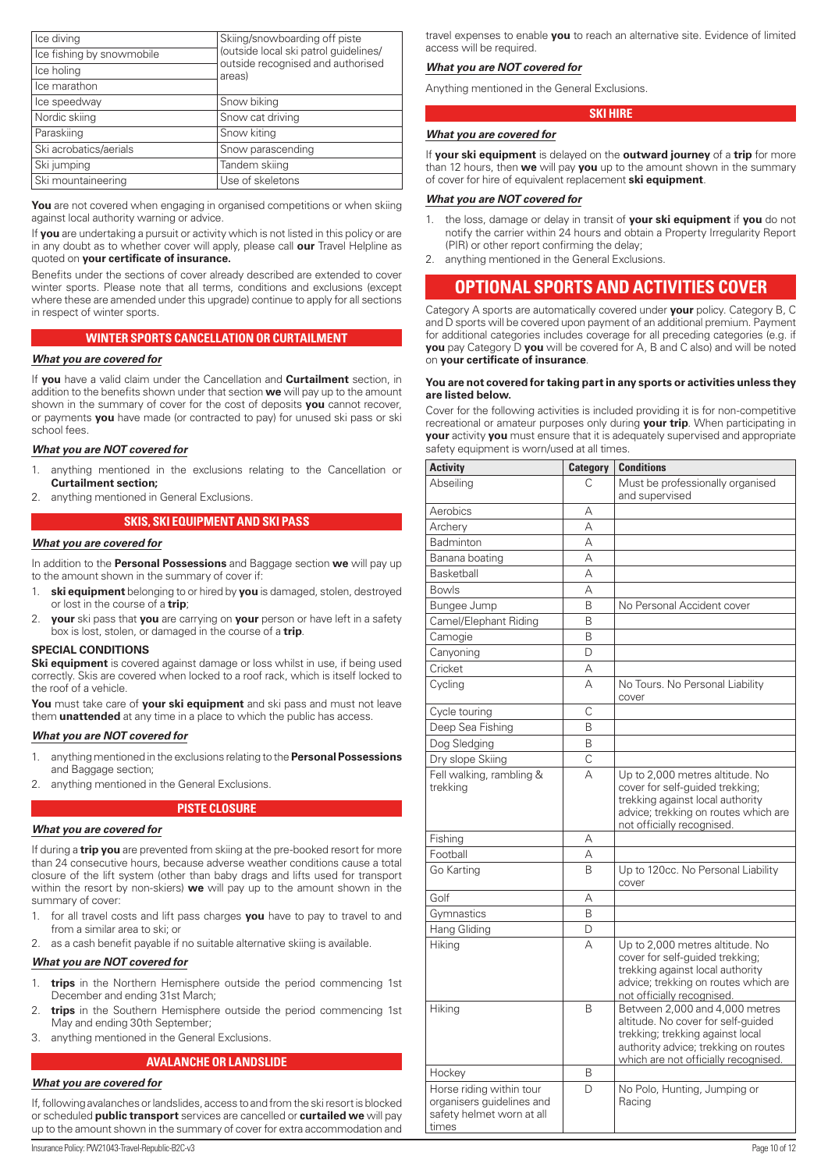<span id="page-9-0"></span>

| Ice diving                | Skiing/snowboarding off piste               |
|---------------------------|---------------------------------------------|
| Ice fishing by snowmobile | (outside local ski patrol guidelines/       |
| Ice holing                | outside recognised and authorised<br>areas) |
| Ice marathon              |                                             |
| Ice speedway              | Snow biking                                 |
| Nordic skiing             | Snow cat driving                            |
| Paraskiing                | Snow kiting                                 |
| Ski acrobatics/aerials    | Snow parascending                           |
| Ski jumping               | Tandem skiing                               |
| Ski mountaineering        | Use of skeletons                            |

You are not covered when engaging in organised competitions or when skiing against local authority warning or advice.

If **you** are undertaking a pursuit or activity which is not listed in this policy or are in any doubt as to whether cover will apply, please call **our** Travel Helpline as quoted on **your certificate of insurance.**

Benefits under the sections of cover already described are extended to cover winter sports. Please note that all terms, conditions and exclusions (except where these are amended under this upgrade) continue to apply for all sections in respect of winter sports.

#### **WINTER SPORTS CANCELLATION OR CURTAILMENT**

## *What you are covered for*

If **you** have a valid claim under the Cancellation and **Curtailment** section, in addition to the benefits shown under that section **we** will pay up to the amount shown in the summary of cover for the cost of deposits **you** cannot recover, or payments **you** have made (or contracted to pay) for unused ski pass or ski school fees.

#### *What you are NOT covered for*

- 1. anything mentioned in the exclusions relating to the Cancellation or **Curtailment section;**
- 2. anything mentioned in General Exclusions.

#### **SKIS, SKI EQUIPMENT AND SKI PASS**

#### *What you are covered for*

In addition to the **Personal Possessions** and Baggage section **we** will pay up to the amount shown in the summary of cover if:

- 1. **ski equipment** belonging to or hired by **you** is damaged, stolen, destroyed or lost in the course of a **trip**;
- 2. **your** ski pass that **you** are carrying on **your** person or have left in a safety box is lost, stolen, or damaged in the course of a **trip**.

#### **SPECIAL CONDITIONS**

**Ski equipment** is covered against damage or loss whilst in use, if being used correctly. Skis are covered when locked to a roof rack, which is itself locked to the roof of a vehicle.

**You** must take care of **your ski equipment** and ski pass and must not leave them **unattended** at any time in a place to which the public has access.

#### *What you are NOT covered for*

- 1. anything mentioned in the exclusions relating to the **Personal Possessions**  and Baggage section;
- 2. anything mentioned in the General Exclusions.

#### **PISTE CLOSURE**

#### *What you are covered for*

If during a **trip you** are prevented from skiing at the pre-booked resort for more than 24 consecutive hours, because adverse weather conditions cause a total closure of the lift system (other than baby drags and lifts used for transport within the resort by non-skiers) **we** will pay up to the amount shown in the summary of cover:

- 1. for all travel costs and lift pass charges **you** have to pay to travel to and from a similar area to ski; or
- 2. as a cash benefit payable if no suitable alternative skiing is available.

#### *What you are NOT covered for*

- 1. **trips** in the Northern Hemisphere outside the period commencing 1st December and ending 31st March;
- **trips** in the Southern Hemisphere outside the period commencing 1st May and ending 30th September;
- 3. anything mentioned in the General Exclusions.

#### **AVALANCHE OR LANDSLIDE**

#### *What you are covered for*

If, following avalanches or landslides, access to and from the ski resort is blocked or scheduled **public transport** services are cancelled or **curtailed we** will pay up to the amount shown in the summary of cover for extra accommodation and

travel expenses to enable **you** to reach an alternative site. Evidence of limited access will be required.

#### *What you are NOT covered for*

Anything mentioned in the General Exclusions.

#### **SKI HIRE**

## *What you are covered for*

If **your ski equipment** is delayed on the **outward journey** of a **trip** for more than 12 hours, then **we** will pay **you** up to the amount shown in the summary of cover for hire of equivalent replacement **ski equipment**.

#### *What you are NOT covered for*

- 1. the loss, damage or delay in transit of **your ski equipment** if **you** do not notify the carrier within 24 hours and obtain a Property Irregularity Report (PIR) or other report confirming the delay;
- 2. anything mentioned in the General Exclusions.

## **OPTIONAL SPORTS AND ACTIVITIES COVER**

Category A sports are automatically covered under **your** policy. Category B, C and D sports will be covered upon payment of an additional premium. Payment for additional categories includes coverage for all preceding categories (e.g. if **you** pay Category D **you** will be covered for A, B and C also) and will be noted on **your certificate of insurance**.

#### **You are not covered for taking part in any sports or activities unless they are listed below.**

Cover for the following activities is included providing it is for non-competitive recreational or amateur purposes only during **your trip**. When participating in **your** activity **you** must ensure that it is adequately supervised and appropriate safety equipment is worn/used at all times.

| <b>Activity</b>                                                                             | <b>Category</b> | <b>Conditions</b>                                                                                                                                                                        |
|---------------------------------------------------------------------------------------------|-----------------|------------------------------------------------------------------------------------------------------------------------------------------------------------------------------------------|
| Abseiling                                                                                   | C               | Must be professionally organised<br>and supervised                                                                                                                                       |
| Aerobics                                                                                    | А               |                                                                                                                                                                                          |
| Archery                                                                                     | А               |                                                                                                                                                                                          |
| Badminton                                                                                   | А               |                                                                                                                                                                                          |
| Banana boating                                                                              | А               |                                                                                                                                                                                          |
| Basketball                                                                                  | А               |                                                                                                                                                                                          |
| <b>Bowls</b>                                                                                | А               |                                                                                                                                                                                          |
| Bungee Jump                                                                                 | B               | No Personal Accident cover                                                                                                                                                               |
| Camel/Elephant Riding                                                                       | B               |                                                                                                                                                                                          |
| Camogie                                                                                     | B               |                                                                                                                                                                                          |
| Canyoning                                                                                   | D               |                                                                                                                                                                                          |
| Cricket                                                                                     | А               |                                                                                                                                                                                          |
| Cycling                                                                                     | $\Delta$        | No Tours. No Personal Liability<br>cover                                                                                                                                                 |
| Cycle touring                                                                               | C               |                                                                                                                                                                                          |
| Deep Sea Fishing                                                                            | B               |                                                                                                                                                                                          |
| Dog Sledging                                                                                | B               |                                                                                                                                                                                          |
| Dry slope Skiing                                                                            | C               |                                                                                                                                                                                          |
| Fell walking, rambling &<br>trekking                                                        | А               | Up to 2,000 metres altitude. No<br>cover for self-guided trekking;<br>trekking against local authority<br>advice; trekking on routes which are<br>not officially recognised.             |
| Fishing                                                                                     | Α               |                                                                                                                                                                                          |
| Football                                                                                    | А               |                                                                                                                                                                                          |
| Go Karting                                                                                  | B               | Up to 120cc. No Personal Liability<br>cover                                                                                                                                              |
| Golf                                                                                        | А               |                                                                                                                                                                                          |
| Gymnastics                                                                                  | B               |                                                                                                                                                                                          |
| Hang Gliding                                                                                | D               |                                                                                                                                                                                          |
| Hiking                                                                                      | $\Delta$        | Up to 2,000 metres altitude. No<br>cover for self-quided trekking;<br>trekking against local authority<br>advice; trekking on routes which are<br>not officially recognised.             |
| Hiking                                                                                      | B               | Between 2,000 and 4,000 metres<br>altitude. No cover for self-quided<br>trekking; trekking against local<br>authority advice; trekking on routes<br>which are not officially recognised. |
| Hockey                                                                                      | B               |                                                                                                                                                                                          |
| Horse riding within tour<br>organisers guidelines and<br>safety helmet worn at all<br>times | D               | No Polo, Hunting, Jumping or<br>Racing                                                                                                                                                   |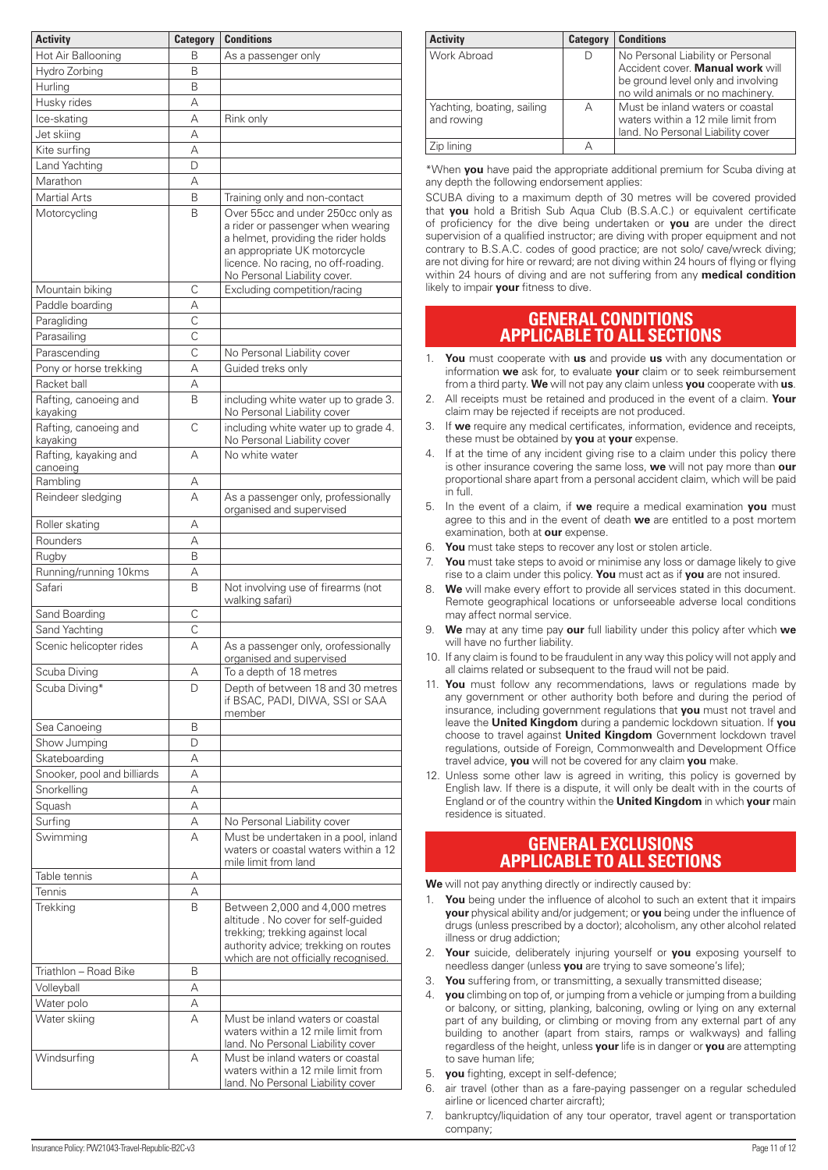<span id="page-10-0"></span>

| <b>Activity</b>                   | <b>Category</b>    | <b>Conditions</b>                                                                                                                                                                                                    |
|-----------------------------------|--------------------|----------------------------------------------------------------------------------------------------------------------------------------------------------------------------------------------------------------------|
| Hot Air Ballooning                | В                  | As a passenger only                                                                                                                                                                                                  |
| Hydro Zorbing                     | B                  |                                                                                                                                                                                                                      |
| Hurling                           | B                  |                                                                                                                                                                                                                      |
| Husky rides                       | A                  |                                                                                                                                                                                                                      |
| Ice-skating                       | A                  | Rink only                                                                                                                                                                                                            |
| Jet skiing                        | А                  |                                                                                                                                                                                                                      |
| Kite surfing                      | А                  |                                                                                                                                                                                                                      |
| Land Yachting                     | D                  |                                                                                                                                                                                                                      |
| Marathon                          | А                  |                                                                                                                                                                                                                      |
| <b>Martial Arts</b>               | B                  | Training only and non-contact                                                                                                                                                                                        |
| Motorcycling                      | B                  | Over 55cc and under 250cc only as<br>a rider or passenger when wearing<br>a helmet, providing the rider holds<br>an appropriate UK motorcycle<br>licence. No racing, no off-roading.<br>No Personal Liability cover. |
| Mountain biking                   | C                  | Excluding competition/racing                                                                                                                                                                                         |
| Paddle boarding                   | А                  |                                                                                                                                                                                                                      |
| Paragliding                       | $\overline{\rm c}$ |                                                                                                                                                                                                                      |
| Parasailing                       | C                  |                                                                                                                                                                                                                      |
| Parascending                      | C                  | No Personal Liability cover                                                                                                                                                                                          |
| Pony or horse trekking            | А                  | Guided treks only                                                                                                                                                                                                    |
| Racket ball                       | А                  |                                                                                                                                                                                                                      |
| Rafting, canoeing and<br>kayaking | B                  | including white water up to grade 3.<br>No Personal Liability cover                                                                                                                                                  |
| Rafting, canoeing and<br>kayaking | C                  | including white water up to grade 4.<br>No Personal Liability cover                                                                                                                                                  |
| Rafting, kayaking and<br>canoeing | А                  | No white water                                                                                                                                                                                                       |
| Rambling                          | А                  |                                                                                                                                                                                                                      |
| Reindeer sledging                 | A                  | As a passenger only, professionally<br>organised and supervised                                                                                                                                                      |
| Roller skating                    | А                  |                                                                                                                                                                                                                      |
| Rounders                          | А                  |                                                                                                                                                                                                                      |
| Rugby                             | B                  |                                                                                                                                                                                                                      |
| Running/running 10kms             | А                  |                                                                                                                                                                                                                      |
| Safari                            | B                  | Not involving use of firearms (not<br>walking safari)                                                                                                                                                                |
| Sand Boarding                     | C                  |                                                                                                                                                                                                                      |
| Sand Yachting                     | C                  |                                                                                                                                                                                                                      |
| Scenic helicopter rides           | A                  | As a passenger only, orofessionally<br>organised and supervised                                                                                                                                                      |
| Scuba Diving<br>Scuba Diving*     | А<br>D             | To a depth of 18 metres<br>Depth of between 18 and 30 metres<br>if BSAC, PADI, DIWA, SSI or SAA<br>member                                                                                                            |
| Sea Canoeing                      | B                  |                                                                                                                                                                                                                      |
| Show Jumping                      | D                  |                                                                                                                                                                                                                      |
| Skateboarding                     | А                  |                                                                                                                                                                                                                      |
| Snooker, pool and billiards       | А                  |                                                                                                                                                                                                                      |
| Snorkelling                       | А                  |                                                                                                                                                                                                                      |
| Squash                            | А                  |                                                                                                                                                                                                                      |
| Surfing                           | А                  | No Personal Liability cover                                                                                                                                                                                          |
| Swimming                          | А                  | Must be undertaken in a pool, inland<br>waters or coastal waters within a 12<br>mile limit from land                                                                                                                 |
| Table tennis                      | А                  |                                                                                                                                                                                                                      |
| Tennis                            | А                  |                                                                                                                                                                                                                      |
| Trekking                          | B                  | Between 2,000 and 4,000 metres<br>altitude. No cover for self-guided<br>trekking; trekking against local<br>authority advice; trekking on routes<br>which are not officially recognised.                             |
| Triathlon - Road Bike             | B                  |                                                                                                                                                                                                                      |
| Volleyball<br>Water polo          | А<br>А             |                                                                                                                                                                                                                      |
| Water skiing                      | А                  | Must be inland waters or coastal<br>waters within a 12 mile limit from<br>land. No Personal Liability cover                                                                                                          |
| Windsurfing                       | А                  | Must be inland waters or coastal<br>waters within a 12 mile limit from<br>land. No Personal Liability cover                                                                                                          |

| <b>Activity</b>                          | <b>Category</b> | <b>Conditions</b>                                                                                                                               |
|------------------------------------------|-----------------|-------------------------------------------------------------------------------------------------------------------------------------------------|
| Work Abroad                              |                 | No Personal Liability or Personal<br>Accident cover. Manual work will<br>be ground level only and involving<br>no wild animals or no machinery. |
| Yachting, boating, sailing<br>and rowing | А               | Must be inland waters or coastal<br>waters within a 12 mile limit from<br>land. No Personal Liability cover                                     |
| Zip lining                               |                 |                                                                                                                                                 |

\*When **you** have paid the appropriate additional premium for Scuba diving at any depth the following endorsement applies:

SCUBA diving to a maximum depth of 30 metres will be covered provided that **you** hold a British Sub Aqua Club (B.S.A.C.) or equivalent certificate of proficiency for the dive being undertaken or **you** are under the direct supervision of a qualified instructor; are diving with proper equipment and not contrary to B.S.A.C. codes of good practice; are not solo/ cave/wreck diving; are not diving for hire or reward; are not diving within 24 hours of flying or flying within 24 hours of diving and are not suffering from any **medical condition** likely to impair **your** fitness to dive.

## **GENERAL CONDITIONS APPLICABLE TO ALL SECTIONS**

- 1. **You** must cooperate with **us** and provide **us** with any documentation or information **we** ask for, to evaluate **your** claim or to seek reimbursement from a third party. **We** will not pay any claim unless **you** cooperate with **us**.
- 2. All receipts must be retained and produced in the event of a claim. **Your** claim may be rejected if receipts are not produced.
- 3. If **we** require any medical certificates, information, evidence and receipts, these must be obtained by **you** at **your** expense.
- 4. If at the time of any incident giving rise to a claim under this policy there is other insurance covering the same loss, **we** will not pay more than **our** proportional share apart from a personal accident claim, which will be paid in full.
- 5. In the event of a claim, if **we** require a medical examination **you** must agree to this and in the event of death **we** are entitled to a post mortem examination, both at **our** expense.
- 6. **You** must take steps to recover any lost or stolen article.
- 7. **You** must take steps to avoid or minimise any loss or damage likely to give rise to a claim under this policy. **You** must act as if **you** are not insured.
- 8. **We** will make every effort to provide all services stated in this document. Remote geographical locations or unforseeable adverse local conditions may affect normal service.
- 9. **We** may at any time pay **our** full liability under this policy after which **we** will have no further liability.
- 10. If any claim is found to be fraudulent in any way this policy will not apply and all claims related or subsequent to the fraud will not be paid.
- 11. **You** must follow any recommendations, laws or regulations made by any government or other authority both before and during the period of insurance, including government regulations that **you** must not travel and leave the **United Kingdom** during a pandemic lockdown situation. If **you** choose to travel against **United Kingdom** Government lockdown travel regulations, outside of Foreign, Commonwealth and Development Office travel advice, **you** will not be covered for any claim **you** make.
- 12. Unless some other law is agreed in writing, this policy is governed by English law. If there is a dispute, it will only be dealt with in the courts of England or of the country within the **United Kingdom** in which **your** main residence is situated.

# **GENERAL EXCLUSIONS APPLICABLE TO ALL SECTIONS**

**We** will not pay anything directly or indirectly caused by:

- 1. **You** being under the influence of alcohol to such an extent that it impairs **your** physical ability and/or judgement; or **you** being under the influence of drugs (unless prescribed by a doctor); alcoholism, any other alcohol related illness or drug addiction;
- 2. **Your** suicide, deliberately injuring yourself or **you** exposing yourself to needless danger (unless **you** are trying to save someone's life);
- 3. **You** suffering from, or transmitting, a sexually transmitted disease;
- 4. **you** climbing on top of, or jumping from a vehicle or jumping from a building or balcony, or sitting, planking, balconing, owling or lying on any external part of any building, or climbing or moving from any external part of any building to another (apart from stairs, ramps or walkways) and falling regardless of the height, unless **your** life is in danger or **you** are attempting to save human life;
- 5. **you** fighting, except in self-defence;
- air travel (other than as a fare-paying passenger on a regular scheduled airline or licenced charter aircraft);
- 7. bankruptcy/liquidation of any tour operator, travel agent or transportation company;